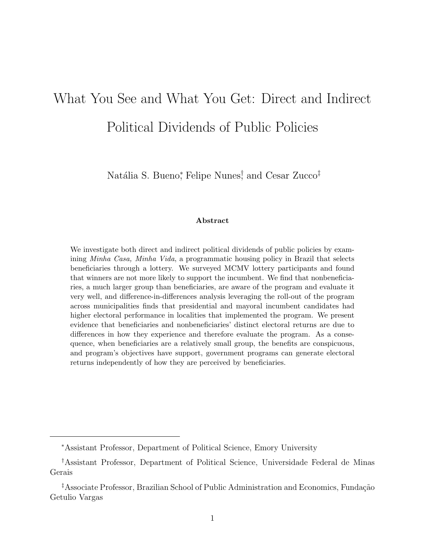# What You See and What You Get: Direct and Indirect Political Dividends of Public Policies

Natália S. Bueno\*, Felipe Nunes<sup>†</sup> and Cesar Zucco<sup>‡</sup>

#### Abstract

We investigate both direct and indirect political dividends of public policies by examining Minha Casa, Minha Vida, a programmatic housing policy in Brazil that selects beneficiaries through a lottery. We surveyed MCMV lottery participants and found that winners are not more likely to support the incumbent. We find that nonbeneficiaries, a much larger group than beneficiaries, are aware of the program and evaluate it very well, and difference-in-differences analysis leveraging the roll-out of the program across municipalities finds that presidential and mayoral incumbent candidates had higher electoral performance in localities that implemented the program. We present evidence that beneficiaries and nonbeneficiaries' distinct electoral returns are due to differences in how they experience and therefore evaluate the program. As a consequence, when beneficiaries are a relatively small group, the benefits are conspicuous, and program's objectives have support, government programs can generate electoral returns independently of how they are perceived by beneficiaries.

<sup>∗</sup>Assistant Professor, Department of Political Science, Emory University

<sup>†</sup>Assistant Professor, Department of Political Science, Universidade Federal de Minas Gerais

<sup>&</sup>lt;sup>‡</sup>Associate Professor, Brazilian School of Public Administration and Economics, Fundação Getulio Vargas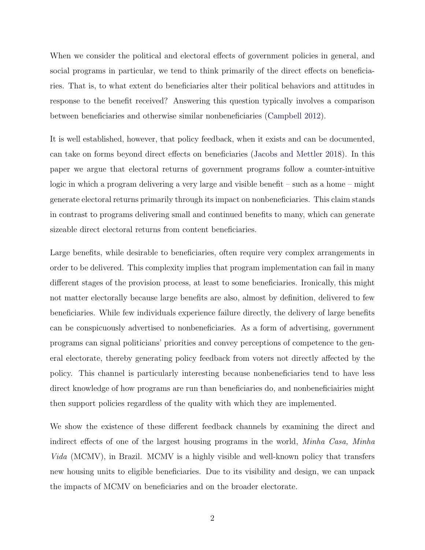When we consider the political and electoral effects of government policies in general, and social programs in particular, we tend to think primarily of the direct effects on beneficiaries. That is, to what extent do beneficiaries alter their political behaviors and attitudes in response to the benefit received? Answering this question typically involves a comparison between beneficiaries and otherwise similar nonbeneficiaries [\(Campbell](#page-31-0) [2012\)](#page-31-0).

It is well established, however, that policy feedback, when it exists and can be documented, can take on forms beyond direct effects on beneficiaries [\(Jacobs and Mettler](#page-33-0) [2018\)](#page-33-0). In this paper we argue that electoral returns of government programs follow a counter-intuitive logic in which a program delivering a very large and visible benefit – such as a home – might generate electoral returns primarily through its impact on nonbeneficiaries. This claim stands in contrast to programs delivering small and continued benefits to many, which can generate sizeable direct electoral returns from content beneficiaries.

Large benefits, while desirable to beneficiaries, often require very complex arrangements in order to be delivered. This complexity implies that program implementation can fail in many different stages of the provision process, at least to some beneficiaries. Ironically, this might not matter electorally because large benefits are also, almost by definition, delivered to few beneficiaries. While few individuals experience failure directly, the delivery of large benefits can be conspicuously advertised to nonbeneficiaries. As a form of advertising, government programs can signal politicians' priorities and convey perceptions of competence to the general electorate, thereby generating policy feedback from voters not directly affected by the policy. This channel is particularly interesting because nonbeneficiaries tend to have less direct knowledge of how programs are run than beneficiaries do, and nonbeneficiairies might then support policies regardless of the quality with which they are implemented.

We show the existence of these different feedback channels by examining the direct and indirect effects of one of the largest housing programs in the world, *Minha Casa, Minha* Vida (MCMV), in Brazil. MCMV is a highly visible and well-known policy that transfers new housing units to eligible beneficiaries. Due to its visibility and design, we can unpack the impacts of MCMV on beneficiaries and on the broader electorate.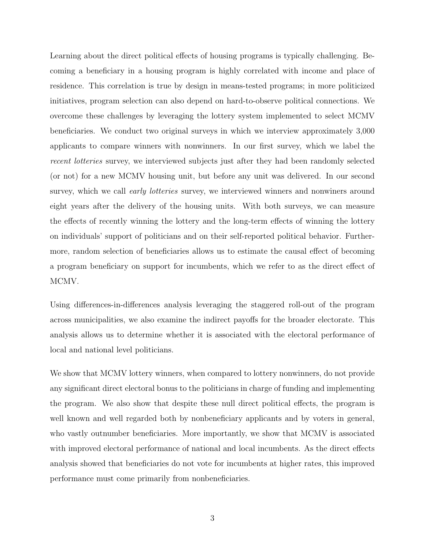Learning about the direct political effects of housing programs is typically challenging. Becoming a beneficiary in a housing program is highly correlated with income and place of residence. This correlation is true by design in means-tested programs; in more politicized initiatives, program selection can also depend on hard-to-observe political connections. We overcome these challenges by leveraging the lottery system implemented to select MCMV beneficiaries. We conduct two original surveys in which we interview approximately 3,000 applicants to compare winners with nonwinners. In our first survey, which we label the recent lotteries survey, we interviewed subjects just after they had been randomly selected (or not) for a new MCMV housing unit, but before any unit was delivered. In our second survey, which we call *early lotteries* survey, we interviewed winners and nonwiners around eight years after the delivery of the housing units. With both surveys, we can measure the effects of recently winning the lottery and the long-term effects of winning the lottery on individuals' support of politicians and on their self-reported political behavior. Furthermore, random selection of beneficiaries allows us to estimate the causal effect of becoming a program beneficiary on support for incumbents, which we refer to as the direct effect of MCMV.

Using differences-in-differences analysis leveraging the staggered roll-out of the program across municipalities, we also examine the indirect payoffs for the broader electorate. This analysis allows us to determine whether it is associated with the electoral performance of local and national level politicians.

We show that MCMV lottery winners, when compared to lottery nonwinners, do not provide any significant direct electoral bonus to the politicians in charge of funding and implementing the program. We also show that despite these null direct political effects, the program is well known and well regarded both by nonbeneficiary applicants and by voters in general, who vastly outnumber beneficiaries. More importantly, we show that MCMV is associated with improved electoral performance of national and local incumbents. As the direct effects analysis showed that beneficiaries do not vote for incumbents at higher rates, this improved performance must come primarily from nonbeneficiaries.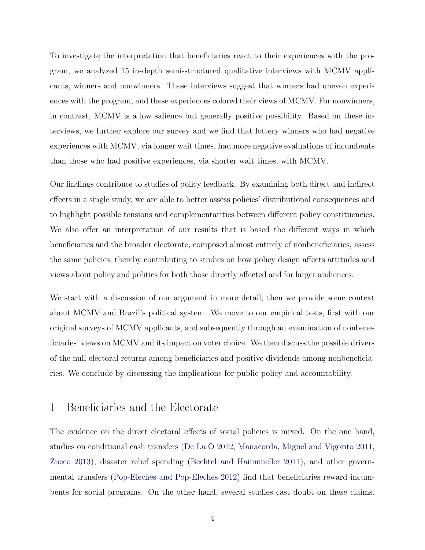To investigate the interpretation that beneficiaries react to their experiences with the program, we analyzed 15 in-depth semi-structured qualitative interviews with MCMV applicants, winners and nonwinners. These interviews suggest that winners had uneven experiences with the program, and these experiences colored their views of MCMV. For nonwinners, in contrast, MCMV is a low salience but generally positive possibility. Based on these interviews, we further explore our survey and we find that lottery winners who had negative experiences with MCMV, via longer wait times, had more negative evaluations of incumbents than those who had positive experiences, via shorter wait times, with MCMV.

Our findings contribute to studies of policy feedback. By examining both direct and indirect effects in a single study, we are able to better assess policies' distributional consequences and to highlight possible tensions and complementarities between different policy constituencies. We also offer an interpretation of our results that is based the different ways in which beneficiaries and the broader electorate, composed almost entirely of nonbeneficiaries, assess the same policies, thereby contributing to studies on how policy design affects attitudes and views about policy and politics for both those directly affected and for larger audiences.

We start with a discussion of our argument in more detail; then we provide some context about MCMV and Brazil's political system. We move to our empirical tests, first with our original surveys of MCMV applicants, and subsequently through an examination of nonbeneficiaries' views on MCMV and its impact on voter choice. We then discuss the possible drivers of the null electoral returns among beneficiaries and positive dividends among nonbeneficiaries. We conclude by discussing the implications for public policy and accountability.

#### <span id="page-3-0"></span>1 Beneficiaries and the Electorate

The evidence on the direct electoral effects of social policies is mixed. On the one hand, studies on conditional cash transfers [\(De La O](#page-32-0) [2012,](#page-32-0) [Manacorda, Miguel and Vigorito](#page-33-1) [2011,](#page-33-1) [Zucco](#page-34-0) [2013\)](#page-34-0), disaster relief spending [\(Bechtel and Hainmueller](#page-31-1) [2011\)](#page-31-1), and other governmental transfers [\(Pop-Eleches and Pop-Eleches](#page-33-2) [2012\)](#page-33-2) find that beneficiaries reward incumbents for social programs. On the other hand, several studies cast doubt on these claims.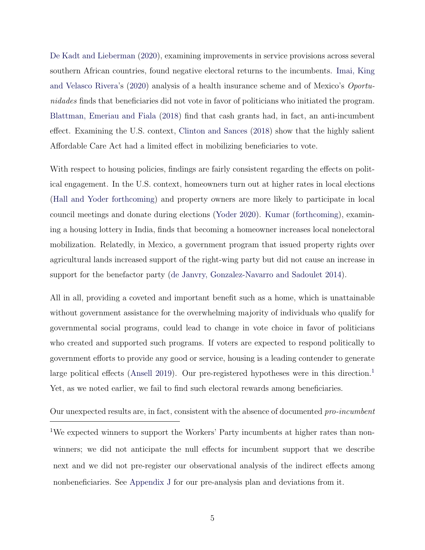[De Kadt and Lieberman](#page-32-1) [\(2020\)](#page-32-1), examining improvements in service provisions across several southern African countries, found negative electoral returns to the incumbents. [Imai, King](#page-33-3) [and Velasco Rivera'](#page-33-3)s [\(2020\)](#page-33-3) analysis of a health insurance scheme and of Mexico's Oportunidades finds that beneficiaries did not vote in favor of politicians who initiated the program. [Blattman, Emeriau and Fiala](#page-31-2) [\(2018\)](#page-31-2) find that cash grants had, in fact, an anti-incumbent effect. Examining the U.S. context, [Clinton and Sances](#page-31-3) [\(2018\)](#page-31-3) show that the highly salient Affordable Care Act had a limited effect in mobilizing beneficiaries to vote.

With respect to housing policies, findings are fairly consistent regarding the effects on political engagement. In the U.S. context, homeowners turn out at higher rates in local elections [\(Hall and Yoder](#page-32-2) [forthcoming\)](#page-32-2) and property owners are more likely to participate in local council meetings and donate during elections [\(Yoder](#page-34-1) [2020\)](#page-34-1). [Kumar](#page-33-4) [\(forthcoming\)](#page-33-4), examining a housing lottery in India, finds that becoming a homeowner increases local nonelectoral mobilization. Relatedly, in Mexico, a government program that issued property rights over agricultural lands increased support of the right-wing party but did not cause an increase in support for the benefactor party [\(de Janvry, Gonzalez-Navarro and Sadoulet](#page-32-3) [2014\)](#page-32-3).

All in all, providing a coveted and important benefit such as a home, which is unattainable without government assistance for the overwhelming majority of individuals who qualify for governmental social programs, could lead to change in vote choice in favor of politicians who created and supported such programs. If voters are expected to respond politically to government efforts to provide any good or service, housing is a leading contender to generate large political effects [\(Ansell](#page-30-0) [2019\)](#page-30-0). Our pre-registered hypotheses were in this direction.<sup>[1](#page-4-0)</sup> Yet, as we noted earlier, we fail to find such electoral rewards among beneficiaries.

Our unexpected results are, in fact, consistent with the absence of documented pro-incumbent

<span id="page-4-0"></span><sup>1</sup>We expected winners to support the Workers' Party incumbents at higher rates than nonwinners; we did not anticipate the null effects for incumbent support that we describe next and we did not pre-register our observational analysis of the indirect effects among nonbeneficiaries. See [Appendix J](#page-66-0) for our pre-analysis plan and deviations from it.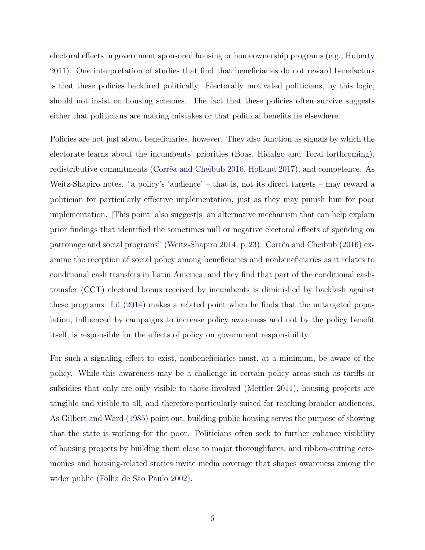electoral effects in government sponsored housing or homeownership programs (e.g., [Huberty](#page-32-4) 2011). One interpretation of studies that find that beneficiaries do not reward benefactors is that these policies backfired politically. Electorally motivated politicians, by this logic, should not insist on housing schemes. The fact that these policies often survive suggests either that politicians are making mistakes or that political benefits lie elsewhere.

Policies are not just about beneficiaries, however. They also function as signals by which the electorate learns about the incumbents' priorities [\(Boas, Hidalgo and Toral](#page-31-4) [forthcoming\)](#page-31-4), redistributive commitments (Corrêa and Cheibub [2016,](#page-32-5) [Holland](#page-32-6) [2017\)](#page-32-6), and competence. As Weitz-Shapiro notes, "a policy's 'audience' – that is, not its direct targets – may reward a politician for particularly effective implementation, just as they may punish him for poor implementation. [This point] also suggest[s] an alternative mechanism that can help explain prior findings that identified the sometimes null or negative electoral effects of spending on patronage and social programs" [\(Weitz-Shapiro](#page-34-2) [2014,](#page-34-2) p. 23). Corrêa and Cheibub [\(2016\)](#page-32-5) examine the reception of social policy among beneficiaries and nonbeneficiaries as it relates to conditional cash transfers in Latin America, and they find that part of the conditional cashtransfer (CCT) electoral bonus received by incumbents is diminished by backlash against these programs. Lu  $(2014)$  makes a related point when he finds that the untargeted population, influenced by campaigns to increase policy awareness and not by the policy benefit itself, is responsible for the effects of policy on government responsibility.

For such a signaling effect to exist, nonbeneficiaries must, at a minimum, be aware of the policy. While this awareness may be a challenge in certain policy areas such as tariffs or subsidies that only are only visible to those involved [\(Mettler](#page-33-6) [2011\)](#page-33-6), housing projects are tangible and visible to all, and therefore particularly suited for reaching broader audiences. As [Gilbert and Ward](#page-32-7) [\(1985\)](#page-32-7) point out, building public housing serves the purpose of showing that the state is working for the poor. Politicians often seek to further enhance visibility of housing projects by building them close to major thoroughfares, and ribbon-cutting ceremonies and housing-related stories invite media coverage that shapes awareness among the wider public (Folha de São Paulo [2002\)](#page-32-8).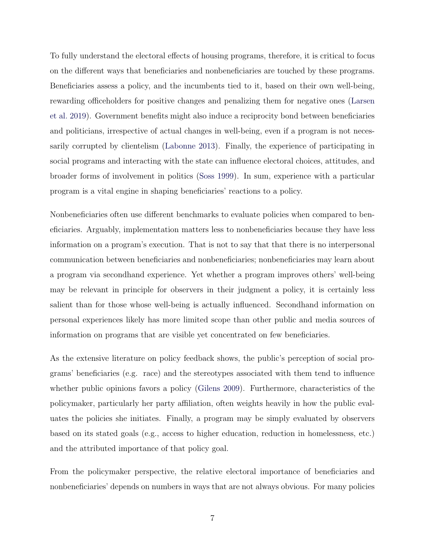To fully understand the electoral effects of housing programs, therefore, it is critical to focus on the different ways that beneficiaries and nonbeneficiaries are touched by these programs. Beneficiaries assess a policy, and the incumbents tied to it, based on their own well-being, rewarding officeholders for positive changes and penalizing them for negative ones [\(Larsen](#page-33-7) [et al.](#page-33-7) [2019\)](#page-33-7). Government benefits might also induce a reciprocity bond between beneficiaries and politicians, irrespective of actual changes in well-being, even if a program is not necessarily corrupted by clientelism [\(Labonne](#page-33-8) [2013\)](#page-33-8). Finally, the experience of participating in social programs and interacting with the state can influence electoral choices, attitudes, and broader forms of involvement in politics [\(Soss](#page-34-3) [1999\)](#page-34-3). In sum, experience with a particular program is a vital engine in shaping beneficiaries' reactions to a policy.

Nonbeneficiaries often use different benchmarks to evaluate policies when compared to beneficiaries. Arguably, implementation matters less to nonbeneficiaries because they have less information on a program's execution. That is not to say that that there is no interpersonal communication between beneficiaries and nonbeneficiaries; nonbeneficiaries may learn about a program via secondhand experience. Yet whether a program improves others' well-being may be relevant in principle for observers in their judgment a policy, it is certainly less salient than for those whose well-being is actually influenced. Secondhand information on personal experiences likely has more limited scope than other public and media sources of information on programs that are visible yet concentrated on few beneficiaries.

As the extensive literature on policy feedback shows, the public's perception of social programs' beneficiaries (e.g. race) and the stereotypes associated with them tend to influence whether public opinions favors a policy [\(Gilens](#page-32-9) [2009\)](#page-32-9). Furthermore, characteristics of the policymaker, particularly her party affiliation, often weights heavily in how the public evaluates the policies she initiates. Finally, a program may be simply evaluated by observers based on its stated goals (e.g., access to higher education, reduction in homelessness, etc.) and the attributed importance of that policy goal.

From the policymaker perspective, the relative electoral importance of beneficiaries and nonbeneficiaries' depends on numbers in ways that are not always obvious. For many policies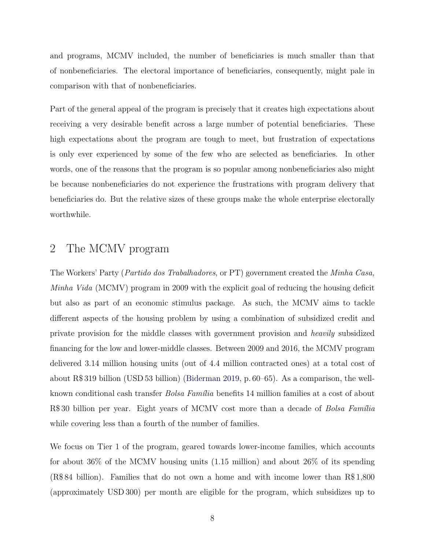and programs, MCMV included, the number of beneficiaries is much smaller than that of nonbeneficiaries. The electoral importance of beneficiaries, consequently, might pale in comparison with that of nonbeneficiaries.

Part of the general appeal of the program is precisely that it creates high expectations about receiving a very desirable benefit across a large number of potential beneficiaries. These high expectations about the program are tough to meet, but frustration of expectations is only ever experienced by some of the few who are selected as beneficiaries. In other words, one of the reasons that the program is so popular among nonbeneficiaries also might be because nonbeneficiaries do not experience the frustrations with program delivery that beneficiaries do. But the relative sizes of these groups make the whole enterprise electorally worthwhile.

### <span id="page-7-0"></span>2 The MCMV program

The Workers' Party (Partido dos Trabalhadores, or PT) government created the Minha Casa, Minha Vida (MCMV) program in 2009 with the explicit goal of reducing the housing deficit but also as part of an economic stimulus package. As such, the MCMV aims to tackle different aspects of the housing problem by using a combination of subsidized credit and private provision for the middle classes with government provision and heavily subsidized financing for the low and lower-middle classes. Between 2009 and 2016, the MCMV program delivered 3.14 million housing units (out of 4.4 million contracted ones) at a total cost of about R\$ 319 billion (USD 53 billion) [\(Biderman](#page-31-5) [2019,](#page-31-5) p. 60–65). As a comparison, the wellknown conditional cash transfer *Bolsa Família* benefits 14 million families at a cost of about R\$ 30 billion per year. Eight years of MCMV cost more than a decade of *Bolsa Família* while covering less than a fourth of the number of families.

We focus on Tier 1 of the program, geared towards lower-income families, which accounts for about 36% of the MCMV housing units (1.15 million) and about 26% of its spending (R\$ 84 billion). Families that do not own a home and with income lower than R\$ 1,800 (approximately USD 300) per month are eligible for the program, which subsidizes up to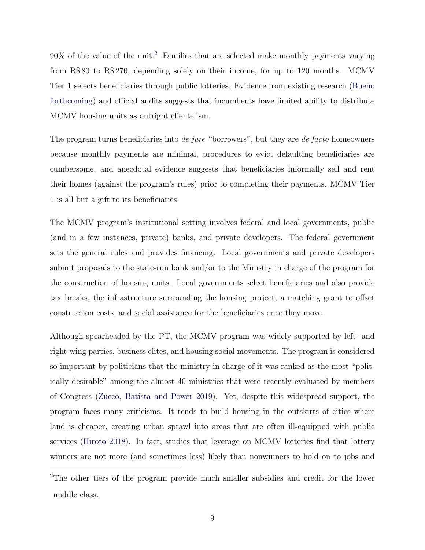$90\%$  of the value of the unit.<sup>[2](#page-8-0)</sup> Families that are selected make monthly payments varying from R\$ 80 to R\$ 270, depending solely on their income, for up to 120 months. MCMV Tier 1 selects beneficiaries through public lotteries. Evidence from existing research [\(Bueno](#page-31-6) [forthcoming\)](#page-31-6) and official audits suggests that incumbents have limited ability to distribute MCMV housing units as outright clientelism.

The program turns beneficiaries into *de jure* "borrowers", but they are *de facto* homeowners because monthly payments are minimal, procedures to evict defaulting beneficiaries are cumbersome, and anecdotal evidence suggests that beneficiaries informally sell and rent their homes (against the program's rules) prior to completing their payments. MCMV Tier 1 is all but a gift to its beneficiaries.

The MCMV program's institutional setting involves federal and local governments, public (and in a few instances, private) banks, and private developers. The federal government sets the general rules and provides financing. Local governments and private developers submit proposals to the state-run bank and/or to the Ministry in charge of the program for the construction of housing units. Local governments select beneficiaries and also provide tax breaks, the infrastructure surrounding the housing project, a matching grant to offset construction costs, and social assistance for the beneficiaries once they move.

Although spearheaded by the PT, the MCMV program was widely supported by left- and right-wing parties, business elites, and housing social movements. The program is considered so important by politicians that the ministry in charge of it was ranked as the most "politically desirable" among the almost 40 ministries that were recently evaluated by members of Congress [\(Zucco, Batista and Power](#page-34-4) [2019\)](#page-34-4). Yet, despite this widespread support, the program faces many criticisms. It tends to build housing in the outskirts of cities where land is cheaper, creating urban sprawl into areas that are often ill-equipped with public services [\(Hiroto](#page-32-10) [2018\)](#page-32-10). In fact, studies that leverage on MCMV lotteries find that lottery winners are not more (and sometimes less) likely than nonwinners to hold on to jobs and

<span id="page-8-0"></span><sup>2</sup>The other tiers of the program provide much smaller subsidies and credit for the lower middle class.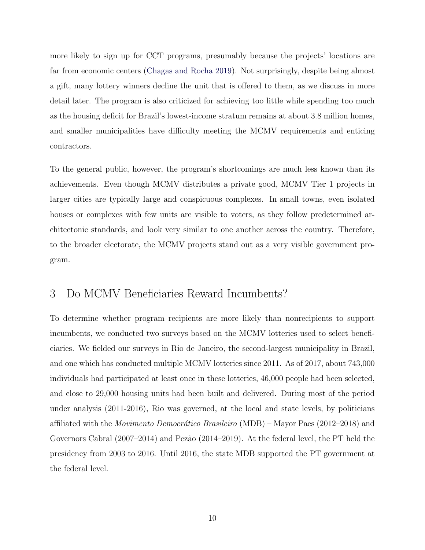more likely to sign up for CCT programs, presumably because the projects' locations are far from economic centers [\(Chagas and Rocha](#page-31-7) [2019\)](#page-31-7). Not surprisingly, despite being almost a gift, many lottery winners decline the unit that is offered to them, as we discuss in more detail later. The program is also criticized for achieving too little while spending too much as the housing deficit for Brazil's lowest-income stratum remains at about 3.8 million homes, and smaller municipalities have difficulty meeting the MCMV requirements and enticing contractors.

To the general public, however, the program's shortcomings are much less known than its achievements. Even though MCMV distributes a private good, MCMV Tier 1 projects in larger cities are typically large and conspicuous complexes. In small towns, even isolated houses or complexes with few units are visible to voters, as they follow predetermined architectonic standards, and look very similar to one another across the country. Therefore, to the broader electorate, the MCMV projects stand out as a very visible government program.

### <span id="page-9-0"></span>3 Do MCMV Beneficiaries Reward Incumbents?

To determine whether program recipients are more likely than nonrecipients to support incumbents, we conducted two surveys based on the MCMV lotteries used to select beneficiaries. We fielded our surveys in Rio de Janeiro, the second-largest municipality in Brazil, and one which has conducted multiple MCMV lotteries since 2011. As of 2017, about 743,000 individuals had participated at least once in these lotteries, 46,000 people had been selected, and close to 29,000 housing units had been built and delivered. During most of the period under analysis (2011-2016), Rio was governed, at the local and state levels, by politicians affiliated with the *Movimento Democrático Brasileiro* (MDB) – Mayor Paes (2012–2018) and Governors Cabral (2007–2014) and Pezão (2014–2019). At the federal level, the PT held the presidency from 2003 to 2016. Until 2016, the state MDB supported the PT government at the federal level.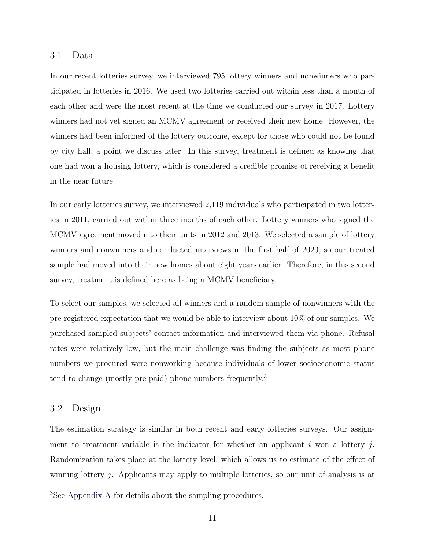#### 3.1 Data

In our recent lotteries survey, we interviewed 795 lottery winners and nonwinners who participated in lotteries in 2016. We used two lotteries carried out within less than a month of each other and were the most recent at the time we conducted our survey in 2017. Lottery winners had not yet signed an MCMV agreement or received their new home. However, the winners had been informed of the lottery outcome, except for those who could not be found by city hall, a point we discuss later. In this survey, treatment is defined as knowing that one had won a housing lottery, which is considered a credible promise of receiving a benefit in the near future.

In our early lotteries survey, we interviewed 2,119 individuals who participated in two lotteries in 2011, carried out within three months of each other. Lottery winners who signed the MCMV agreement moved into their units in 2012 and 2013. We selected a sample of lottery winners and nonwinners and conducted interviews in the first half of 2020, so our treated sample had moved into their new homes about eight years earlier. Therefore, in this second survey, treatment is defined here as being a MCMV beneficiary.

To select our samples, we selected all winners and a random sample of nonwinners with the pre-registered expectation that we would be able to interview about 10% of our samples. We purchased sampled subjects' contact information and interviewed them via phone. Refusal rates were relatively low, but the main challenge was finding the subjects as most phone numbers we procured were nonworking because individuals of lower socioeconomic status tend to change (mostly pre-paid) phone numbers frequently.[3](#page-10-0)

#### 3.2 Design

The estimation strategy is similar in both recent and early lotteries surveys. Our assignment to treatment variable is the indicator for whether an applicant i won a lottery j. Randomization takes place at the lottery level, which allows us to estimate of the effect of winning lottery *j*. Applicants may apply to multiple lotteries, so our unit of analysis is at

<span id="page-10-0"></span><sup>3</sup>See [Appendix A](#page-3-0) for details about the sampling procedures.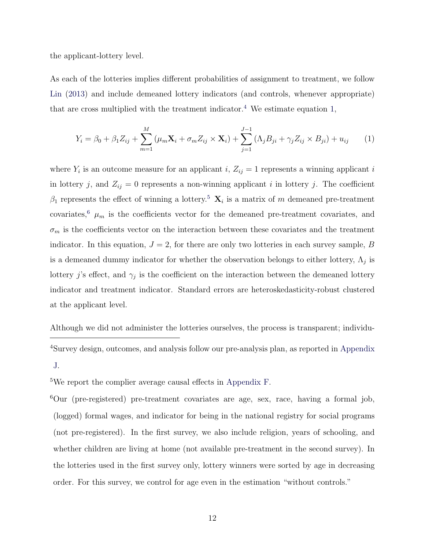the applicant-lottery level.

As each of the lotteries implies different probabilities of assignment to treatment, we follow [Lin](#page-33-9) [\(2013\)](#page-33-9) and include demeaned lottery indicators (and controls, whenever appropriate) that are cross multiplied with the treatment indicator.<sup>[4](#page-11-0)</sup> We estimate equation [1,](#page-11-1)

<span id="page-11-1"></span>
$$
Y_i = \beta_0 + \beta_1 Z_{ij} + \sum_{m=1}^{M} (\mu_m \mathbf{X}_i + \sigma_m Z_{ij} \times \mathbf{X}_i) + \sum_{j=1}^{J-1} (\Lambda_j B_{ji} + \gamma_j Z_{ij} \times B_{ji}) + u_{ij}
$$
(1)

where  $Y_i$  is an outcome measure for an applicant i,  $Z_{ij} = 1$  represents a winning applicant i in lottery j, and  $Z_{ij} = 0$  represents a non-winning applicant i in lottery j. The coefficient  $\beta_1$  represents the effect of winning a lottery.<sup>[5](#page-11-2)</sup>  $\mathbf{X}_i$  is a matrix of m demeaned pre-treatment covariates,<sup>[6](#page-11-3)</sup>  $\mu$ <sub>m</sub> is the coefficients vector for the demeaned pre-treatment covariates, and  $\sigma_m$  is the coefficients vector on the interaction between these covariates and the treatment indicator. In this equation,  $J = 2$ , for there are only two lotteries in each survey sample, B is a demeaned dummy indicator for whether the observation belongs to either lottery,  $\Lambda_j$  is lottery j's effect, and  $\gamma_j$  is the coefficient on the interaction between the demeaned lottery indicator and treatment indicator. Standard errors are heteroskedasticity-robust clustered at the applicant level.

<span id="page-11-0"></span>Although we did not administer the lotteries ourselves, the process is transparent; individu-<sup>4</sup>Survey design, outcomes, and analysis follow our pre-analysis plan, as reported in [Appendix](#page-66-0) [J.](#page-66-0)

<span id="page-11-3"></span><span id="page-11-2"></span><sup>5</sup>We report the complier average causal effects in [Appendix F.](#page-30-1)

<sup>6</sup>Our (pre-registered) pre-treatment covariates are age, sex, race, having a formal job, (logged) formal wages, and indicator for being in the national registry for social programs (not pre-registered). In the first survey, we also include religion, years of schooling, and whether children are living at home (not available pre-treatment in the second survey). In the lotteries used in the first survey only, lottery winners were sorted by age in decreasing order. For this survey, we control for age even in the estimation "without controls."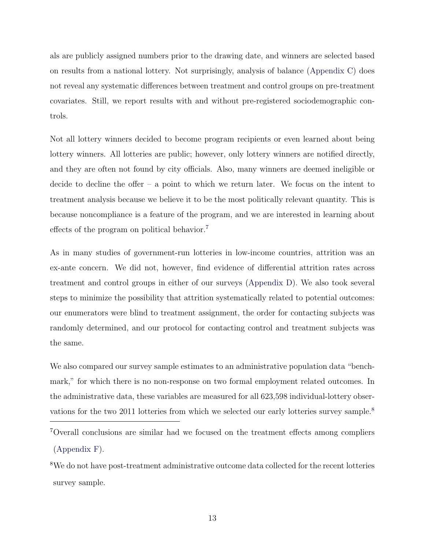als are publicly assigned numbers prior to the drawing date, and winners are selected based on results from a national lottery. Not surprisingly, analysis of balance [\(Appendix C\)](#page-9-0) does not reveal any systematic differences between treatment and control groups on pre-treatment covariates. Still, we report results with and without pre-registered sociodemographic controls.

Not all lottery winners decided to become program recipients or even learned about being lottery winners. All lotteries are public; however, only lottery winners are notified directly, and they are often not found by city officials. Also, many winners are deemed ineligible or decide to decline the offer  $-$  a point to which we return later. We focus on the intent to treatment analysis because we believe it to be the most politically relevant quantity. This is because noncompliance is a feature of the program, and we are interested in learning about effects of the program on political behavior.[7](#page-12-0)

As in many studies of government-run lotteries in low-income countries, attrition was an ex-ante concern. We did not, however, find evidence of differential attrition rates across treatment and control groups in either of our surveys [\(Appendix D\)](#page-18-0). We also took several steps to minimize the possibility that attrition systematically related to potential outcomes: our enumerators were blind to treatment assignment, the order for contacting subjects was randomly determined, and our protocol for contacting control and treatment subjects was the same.

We also compared our survey sample estimates to an administrative population data "benchmark," for which there is no non-response on two formal employment related outcomes. In the administrative data, these variables are measured for all 623,598 individual-lottery obser-vations for the two 2011 lotteries from which we selected our early lotteries survey sample.<sup>[8](#page-12-1)</sup>

<span id="page-12-0"></span><sup>7</sup>Overall conclusions are similar had we focused on the treatment effects among compliers [\(Appendix F\)](#page-30-1).

<span id="page-12-1"></span><sup>8</sup>We do not have post-treatment administrative outcome data collected for the recent lotteries survey sample.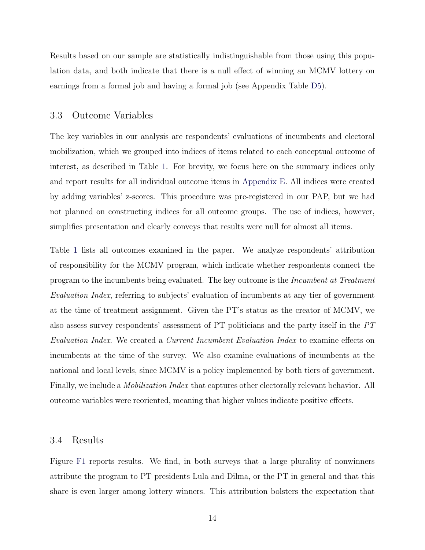Results based on our sample are statistically indistinguishable from those using this population data, and both indicate that there is a null effect of winning an MCMV lottery on earnings from a formal job and having a formal job (see Appendix Table [D5\)](#page-44-0).

#### 3.3 Outcome Variables

The key variables in our analysis are respondents' evaluations of incumbents and electoral mobilization, which we grouped into indices of items related to each conceptual outcome of interest, as described in Table [1.](#page-14-0) For brevity, we focus here on the summary indices only and report results for all individual outcome items in [Appendix E.](#page-24-0) All indices were created by adding variables' z-scores. This procedure was pre-registered in our PAP, but we had not planned on constructing indices for all outcome groups. The use of indices, however, simplifies presentation and clearly conveys that results were null for almost all items.

Table [1](#page-14-0) lists all outcomes examined in the paper. We analyze respondents' attribution of responsibility for the MCMV program, which indicate whether respondents connect the program to the incumbents being evaluated. The key outcome is the Incumbent at Treatment Evaluation Index, referring to subjects' evaluation of incumbents at any tier of government at the time of treatment assignment. Given the PT's status as the creator of MCMV, we also assess survey respondents' assessment of PT politicians and the party itself in the PT Evaluation Index. We created a Current Incumbent Evaluation Index to examine effects on incumbents at the time of the survey. We also examine evaluations of incumbents at the national and local levels, since MCMV is a policy implemented by both tiers of government. Finally, we include a *Mobilization Index* that captures other electorally relevant behavior. All outcome variables were reoriented, meaning that higher values indicate positive effects.

#### 3.4 Results

Figure [F1](#page-55-0) reports results. We find, in both surveys that a large plurality of nonwinners attribute the program to PT presidents Lula and Dilma, or the PT in general and that this share is even larger among lottery winners. This attribution bolsters the expectation that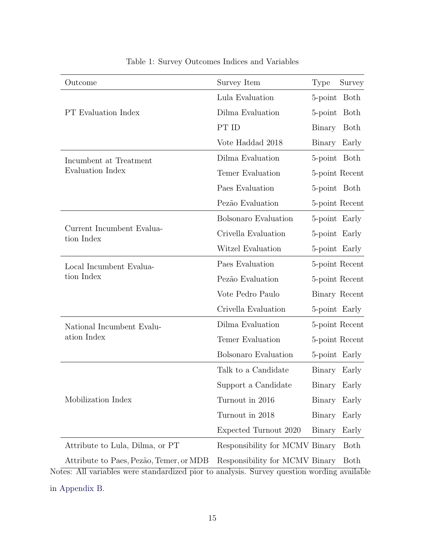<span id="page-14-0"></span>

| Outcome                                                                                                                               | Survey Item                    | Type          | Survey         |
|---------------------------------------------------------------------------------------------------------------------------------------|--------------------------------|---------------|----------------|
|                                                                                                                                       | Lula Evaluation                | 5-point Both  |                |
| <b>PT</b> Evaluation Index                                                                                                            | Dilma Evaluation               | 5-point Both  |                |
|                                                                                                                                       | PT ID                          | Binary        | Both           |
|                                                                                                                                       | Vote Haddad 2018               | Binary Early  |                |
| Incumbent at Treatment                                                                                                                | Dilma Evaluation               | 5-point Both  |                |
| <b>Evaluation Index</b>                                                                                                               | Temer Evaluation               |               | 5-point Recent |
|                                                                                                                                       | Paes Evaluation                | 5-point Both  |                |
|                                                                                                                                       | Pezão Evaluation               |               | 5-point Recent |
|                                                                                                                                       | Bolsonaro Evaluation           | 5-point Early |                |
| Current Incumbent Evalua-<br>tion Index                                                                                               | Crivella Evaluation            | 5-point Early |                |
|                                                                                                                                       | Witzel Evaluation              | 5-point Early |                |
| Local Incumbent Evalua-                                                                                                               | Paes Evaluation                |               | 5-point Recent |
| tion Index                                                                                                                            | Pezão Evaluation               |               | 5-point Recent |
|                                                                                                                                       | Vote Pedro Paulo               |               | Binary Recent  |
|                                                                                                                                       | Crivella Evaluation            | 5-point Early |                |
| National Incumbent Evalu-                                                                                                             | Dilma Evaluation               |               | 5-point Recent |
| ation Index                                                                                                                           | Temer Evaluation               |               | 5-point Recent |
|                                                                                                                                       | Bolsonaro Evaluation           | 5-point Early |                |
|                                                                                                                                       | Talk to a Candidate            | Binary Early  |                |
|                                                                                                                                       | Support a Candidate            | Binary Early  |                |
| Mobilization Index                                                                                                                    | Turnout in 2016                | Binary        | Early          |
|                                                                                                                                       | Turnout in 2018                | Binary        | Early          |
|                                                                                                                                       | Expected Turnout 2020          | Binary        | Early          |
| Attribute to Lula, Dilma, or PT                                                                                                       | Responsibility for MCMV Binary |               | Both           |
| Attribute to Paes, Pezão, Temer, or MDB<br>stees: All variables were standardized pior to analysis. Survey question wording available | Responsibility for MCMV Binary |               | Both           |

| Table 1: Survey Outcomes Indices and Variables |  |  |  |  |  |
|------------------------------------------------|--|--|--|--|--|
|------------------------------------------------|--|--|--|--|--|

Notes: All variables were standardized pior to analysis. Survey question wording available in [Appendix B.](#page-7-0)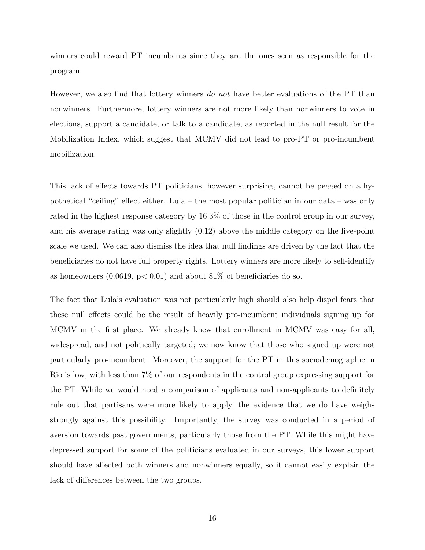winners could reward PT incumbents since they are the ones seen as responsible for the program.

However, we also find that lottery winners do not have better evaluations of the PT than nonwinners. Furthermore, lottery winners are not more likely than nonwinners to vote in elections, support a candidate, or talk to a candidate, as reported in the null result for the Mobilization Index, which suggest that MCMV did not lead to pro-PT or pro-incumbent mobilization.

This lack of effects towards PT politicians, however surprising, cannot be pegged on a hypothetical "ceiling" effect either. Lula – the most popular politician in our data – was only rated in the highest response category by 16.3% of those in the control group in our survey, and his average rating was only slightly (0.12) above the middle category on the five-point scale we used. We can also dismiss the idea that null findings are driven by the fact that the beneficiaries do not have full property rights. Lottery winners are more likely to self-identify as homeowners  $(0.0619, p< 0.01)$  and about 81% of beneficiaries do so.

The fact that Lula's evaluation was not particularly high should also help dispel fears that these null effects could be the result of heavily pro-incumbent individuals signing up for MCMV in the first place. We already knew that enrollment in MCMV was easy for all, widespread, and not politically targeted; we now know that those who signed up were not particularly pro-incumbent. Moreover, the support for the PT in this sociodemographic in Rio is low, with less than 7% of our respondents in the control group expressing support for the PT. While we would need a comparison of applicants and non-applicants to definitely rule out that partisans were more likely to apply, the evidence that we do have weighs strongly against this possibility. Importantly, the survey was conducted in a period of aversion towards past governments, particularly those from the PT. While this might have depressed support for some of the politicians evaluated in our surveys, this lower support should have affected both winners and nonwinners equally, so it cannot easily explain the lack of differences between the two groups.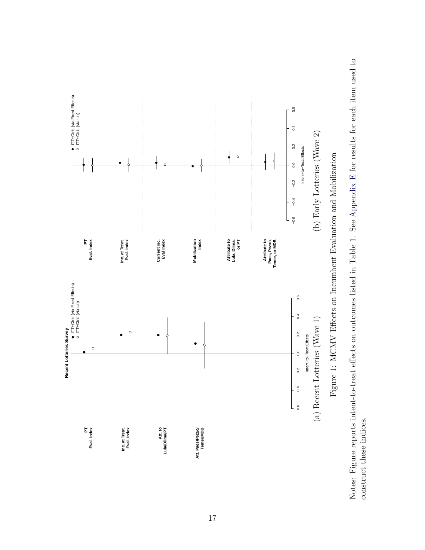

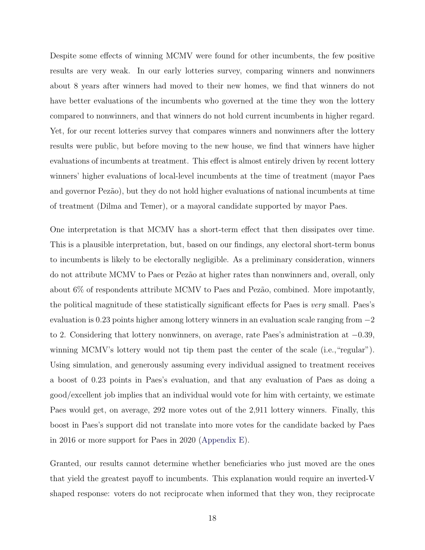Despite some effects of winning MCMV were found for other incumbents, the few positive results are very weak. In our early lotteries survey, comparing winners and nonwinners about 8 years after winners had moved to their new homes, we find that winners do not have better evaluations of the incumbents who governed at the time they won the lottery compared to nonwinners, and that winners do not hold current incumbents in higher regard. Yet, for our recent lotteries survey that compares winners and nonwinners after the lottery results were public, but before moving to the new house, we find that winners have higher evaluations of incumbents at treatment. This effect is almost entirely driven by recent lottery winners' higher evaluations of local-level incumbents at the time of treatment (mayor Paes and governor Pezão), but they do not hold higher evaluations of national incumbents at time of treatment (Dilma and Temer), or a mayoral candidate supported by mayor Paes.

One interpretation is that MCMV has a short-term effect that then dissipates over time. This is a plausible interpretation, but, based on our findings, any electoral short-term bonus to incumbents is likely to be electorally negligible. As a preliminary consideration, winners do not attribute MCMV to Paes or Pezão at higher rates than nonwinners and, overall, only about  $6\%$  of respondents attribute MCMV to Paes and Pezão, combined. More impotantly, the political magnitude of these statistically significant effects for Paes is very small. Paes's evaluation is 0.23 points higher among lottery winners in an evaluation scale ranging from −2 to 2. Considering that lottery nonwinners, on average, rate Paes's administration at −0.39, winning MCMV's lottery would not tip them past the center of the scale (i.e., "regular"). Using simulation, and generously assuming every individual assigned to treatment receives a boost of 0.23 points in Paes's evaluation, and that any evaluation of Paes as doing a good/excellent job implies that an individual would vote for him with certainty, we estimate Paes would get, on average, 292 more votes out of the 2,911 lottery winners. Finally, this boost in Paes's support did not translate into more votes for the candidate backed by Paes in 2016 or more support for Paes in 2020 [\(Appendix E\)](#page-24-0).

Granted, our results cannot determine whether beneficiaries who just moved are the ones that yield the greatest payoff to incumbents. This explanation would require an inverted-V shaped response: voters do not reciprocate when informed that they won, they reciprocate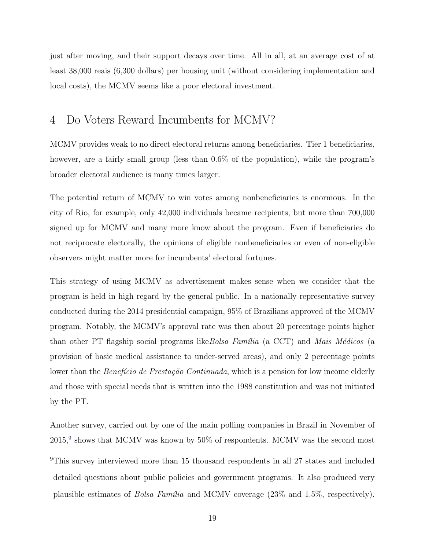just after moving, and their support decays over time. All in all, at an average cost of at least 38,000 reais (6,300 dollars) per housing unit (without considering implementation and local costs), the MCMV seems like a poor electoral investment.

### <span id="page-18-0"></span>4 Do Voters Reward Incumbents for MCMV?

MCMV provides weak to no direct electoral returns among beneficiaries. Tier 1 beneficiaries, however, are a fairly small group (less than  $0.6\%$  of the population), while the program's broader electoral audience is many times larger.

The potential return of MCMV to win votes among nonbeneficiaries is enormous. In the city of Rio, for example, only 42,000 individuals became recipients, but more than 700,000 signed up for MCMV and many more know about the program. Even if beneficiaries do not reciprocate electorally, the opinions of eligible nonbeneficiaries or even of non-eligible observers might matter more for incumbents' electoral fortunes.

This strategy of using MCMV as advertisement makes sense when we consider that the program is held in high regard by the general public. In a nationally representative survey conducted during the 2014 presidential campaign, 95% of Brazilians approved of the MCMV program. Notably, the MCMV's approval rate was then about 20 percentage points higher than other PT flagship social programs like *Bolsa Família* (a CCT) and *Mais Médicos* (a provision of basic medical assistance to under-served areas), and only 2 percentage points lower than the *Benefício de Prestação Continuada*, which is a pension for low income elderly and those with special needs that is written into the 1988 constitution and was not initiated by the PT.

Another survey, carried out by one of the main polling companies in Brazil in November of  $2015<sup>9</sup>$  $2015<sup>9</sup>$  $2015<sup>9</sup>$  shows that MCMV was known by  $50\%$  of respondents. MCMV was the second most

<span id="page-18-1"></span><sup>&</sup>lt;sup>9</sup>This survey interviewed more than 15 thousand respondents in all 27 states and included detailed questions about public policies and government programs. It also produced very plausible estimates of *Bolsa Família* and MCMV coverage  $(23\%$  and  $1.5\%$ , respectively).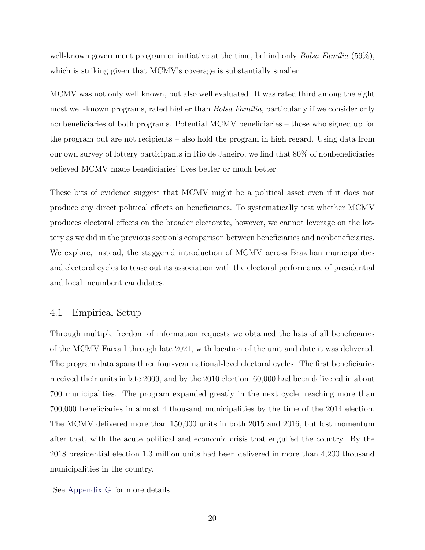well-known government program or initiative at the time, behind only  $Bolsa Família$  (59%), which is striking given that MCMV's coverage is substantially smaller.

MCMV was not only well known, but also well evaluated. It was rated third among the eight most well-known programs, rated higher than *Bolsa Família*, particularly if we consider only nonbeneficiaries of both programs. Potential MCMV beneficiaries – those who signed up for the program but are not recipients – also hold the program in high regard. Using data from our own survey of lottery participants in Rio de Janeiro, we find that 80% of nonbeneficiaries believed MCMV made beneficiaries' lives better or much better.

These bits of evidence suggest that MCMV might be a political asset even if it does not produce any direct political effects on beneficiaries. To systematically test whether MCMV produces electoral effects on the broader electorate, however, we cannot leverage on the lottery as we did in the previous section's comparison between beneficiaries and nonbeneficiaries. We explore, instead, the staggered introduction of MCMV across Brazilian municipalities and electoral cycles to tease out its association with the electoral performance of presidential and local incumbent candidates.

#### 4.1 Empirical Setup

Through multiple freedom of information requests we obtained the lists of all beneficiaries of the MCMV Faixa I through late 2021, with location of the unit and date it was delivered. The program data spans three four-year national-level electoral cycles. The first beneficiaries received their units in late 2009, and by the 2010 election, 60,000 had been delivered in about 700 municipalities. The program expanded greatly in the next cycle, reaching more than 700,000 beneficiaries in almost 4 thousand municipalities by the time of the 2014 election. The MCMV delivered more than 150,000 units in both 2015 and 2016, but lost momentum after that, with the acute political and economic crisis that engulfed the country. By the 2018 presidential election 1.3 million units had been delivered in more than 4,200 thousand municipalities in the country.

See [Appendix G](#page-56-0) for more details.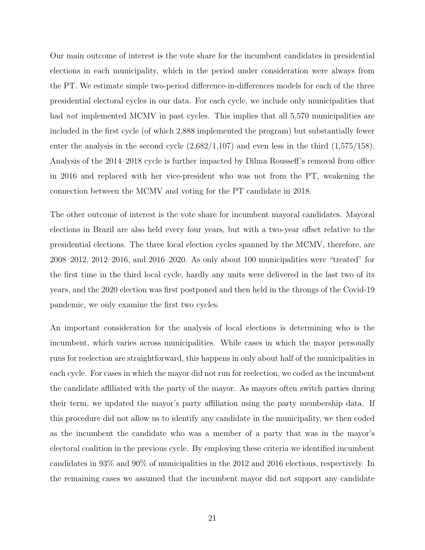Our main outcome of interest is the vote share for the incumbent candidates in presidential elections in each municipality, which in the period under consideration were always from the PT. We estimate simple two-period difference-in-differences models for each of the three presidential electoral cycles in our data. For each cycle, we include only municipalities that had *not* implemented MCMV in past cycles. This implies that all 5,570 municipalities are included in the first cycle (of which 2,888 implemented the program) but substantially fewer enter the analysis in the second cycle  $(2,682/1,107)$  and even less in the third  $(1,575/158)$ . Analysis of the 2014–2018 cycle is further impacted by Dilma Rousseff's removal from office in 2016 and replaced with her vice-president who was not from the PT, weakening the connection between the MCMV and voting for the PT candidate in 2018.

The other outcome of interest is the vote share for incumbent mayoral candidates. Mayoral elections in Brazil are also held every four years, but with a two-year offset relative to the presidential elections. The three local election cycles spanned by the MCMV, therefore, are 2008–2012, 2012–2016, and 2016–2020. As only about 100 municipalities were "treated" for the first time in the third local cycle, hardly any units were delivered in the last two of its years, and the 2020 election was first postponed and then held in the throngs of the Covid-19 pandemic, we only examine the first two cycles.

An important consideration for the analysis of local elections is determining who is the incumbent, which varies across municipalities. While cases in which the mayor personally runs for reelection are straightforward, this happens in only about half of the municipalities in each cycle. For cases in which the mayor did not run for reelection, we coded as the incumbent the candidate affiliated with the party of the mayor. As mayors often switch parties during their term, we updated the mayor's party affiliation using the party membership data. If this procedure did not allow us to identify any candidate in the municipality, we then coded as the incumbent the candidate who was a member of a party that was in the mayor's electoral coalition in the previous cycle. By employing these criteria we identified incumbent candidates in 93% and 90% of municipalities in the 2012 and 2016 elections, respectively. In the remaining cases we assumed that the incumbent mayor did not support any candidate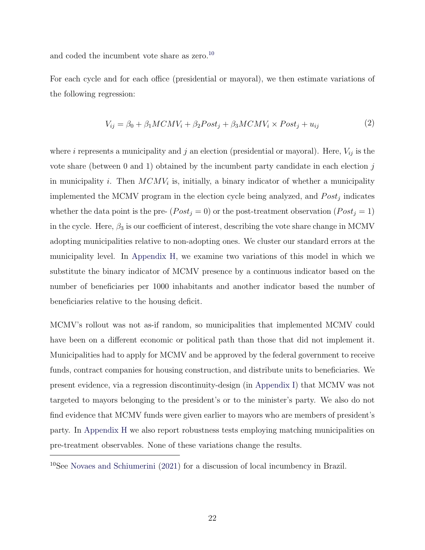and coded the incumbent vote share as zero.<sup>[10](#page-21-0)</sup>

For each cycle and for each office (presidential or mayoral), we then estimate variations of the following regression:

$$
V_{ij} = \beta_0 + \beta_1 MCMV_i + \beta_2 Post_j + \beta_3 MCMV_i \times Post_j + u_{ij}
$$
 (2)

where i represents a municipality and j an election (presidential or mayoral). Here,  $V_{ij}$  is the vote share (between 0 and 1) obtained by the incumbent party candidate in each election  $j$ in municipality *i*. Then  $MCMV_i$  is, initially, a binary indicator of whether a municipality implemented the MCMV program in the election cycle being analyzed, and  $Post_j$  indicates whether the data point is the pre-  $(Post_j = 0)$  or the post-treatment observation  $(Post_j = 1)$ in the cycle. Here,  $\beta_3$  is our coefficient of interest, describing the vote share change in MCMV adopting municipalities relative to non-adopting ones. We cluster our standard errors at the municipality level. In [Appendix H,](#page-59-0) we examine two variations of this model in which we substitute the binary indicator of MCMV presence by a continuous indicator based on the number of beneficiaries per 1000 inhabitants and another indicator based the number of beneficiaries relative to the housing deficit.

MCMV's rollout was not as-if random, so municipalities that implemented MCMV could have been on a different economic or political path than those that did not implement it. Municipalities had to apply for MCMV and be approved by the federal government to receive funds, contract companies for housing construction, and distribute units to beneficiaries. We present evidence, via a regression discontinuity-design (in [Appendix I\)](#page-62-0) that MCMV was not targeted to mayors belonging to the president's or to the minister's party. We also do not find evidence that MCMV funds were given earlier to mayors who are members of president's party. In [Appendix H](#page-59-0) we also report robustness tests employing matching municipalities on pre-treatment observables. None of these variations change the results.

<span id="page-21-0"></span><sup>10</sup>See [Novaes and Schiumerini](#page-33-10) [\(2021\)](#page-33-10) for a discussion of local incumbency in Brazil.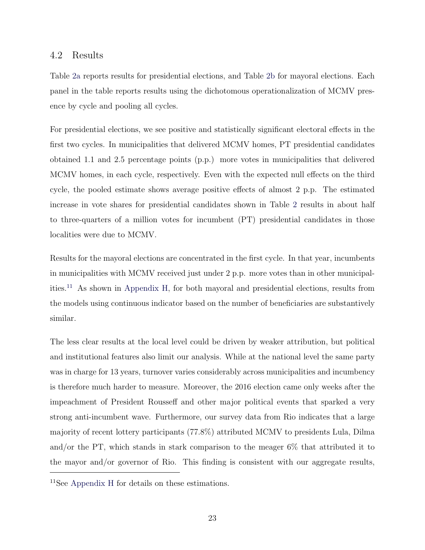#### 4.2 Results

Table [2a](#page-23-0) reports results for presidential elections, and Table [2b](#page-23-1) for mayoral elections. Each panel in the table reports results using the dichotomous operationalization of MCMV presence by cycle and pooling all cycles.

For presidential elections, we see positive and statistically significant electoral effects in the first two cycles. In municipalities that delivered MCMV homes, PT presidential candidates obtained 1.1 and 2.5 percentage points (p.p.) more votes in municipalities that delivered MCMV homes, in each cycle, respectively. Even with the expected null effects on the third cycle, the pooled estimate shows average positive effects of almost 2 p.p. The estimated increase in vote shares for presidential candidates shown in Table [2](#page-23-2) results in about half to three-quarters of a million votes for incumbent (PT) presidential candidates in those localities were due to MCMV.

Results for the mayoral elections are concentrated in the first cycle. In that year, incumbents in municipalities with MCMV received just under 2 p.p. more votes than in other municipalities.[11](#page-22-0) As shown in [Appendix H,](#page-59-0) for both mayoral and presidential elections, results from the models using continuous indicator based on the number of beneficiaries are substantively similar.

The less clear results at the local level could be driven by weaker attribution, but political and institutional features also limit our analysis. While at the national level the same party was in charge for 13 years, turnover varies considerably across municipalities and incumbency is therefore much harder to measure. Moreover, the 2016 election came only weeks after the impeachment of President Rousseff and other major political events that sparked a very strong anti-incumbent wave. Furthermore, our survey data from Rio indicates that a large majority of recent lottery participants (77.8%) attributed MCMV to presidents Lula, Dilma and/or the PT, which stands in stark comparison to the meager 6% that attributed it to the mayor and/or governor of Rio. This finding is consistent with our aggregate results,

<span id="page-22-0"></span><sup>11</sup>See [Appendix H](#page-59-0) for details on these estimations.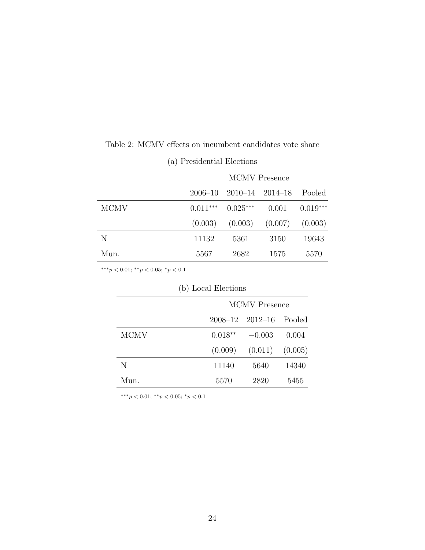<span id="page-23-0"></span>

|             |            |                                     | <b>MCMV</b> Presence |            |
|-------------|------------|-------------------------------------|----------------------|------------|
|             |            | $2006 - 10$ $2010 - 14$ $2014 - 18$ |                      | Pooled     |
| <b>MCMV</b> | $0.011***$ | $0.025***$                          | 0.001                | $0.019***$ |
|             | (0.003)    |                                     | $(0.003)$ $(0.007)$  | (0.003)    |
| N           | 11132      | 5361                                | 3150                 | 19643      |
| Mun.        | 5567       | 2682                                | 1575                 | 5570       |

<span id="page-23-2"></span>Table 2: MCMV effects on incumbent candidates vote share

(a) Presidential Elections

<span id="page-23-1"></span>∗∗∗p < 0.01; ∗∗p < 0.05; <sup>∗</sup>p < 0.1

| (D) LOCAL Elections |                      |                                   |         |  |  |  |  |
|---------------------|----------------------|-----------------------------------|---------|--|--|--|--|
|                     | <b>MCMV</b> Presence |                                   |         |  |  |  |  |
|                     |                      | $2008 - 12$ $2012 - 16$<br>Pooled |         |  |  |  |  |
| <b>MCMV</b>         | $0.018**$            | $-0.003$                          | 0.004   |  |  |  |  |
|                     | (0.009)              | (0.011)                           | (0.005) |  |  |  |  |
| N                   | 11140                | 5640                              | 14340   |  |  |  |  |
| Mun.                | 5570                 | 2820                              | 5455    |  |  |  |  |

 $(h)$  Local Floctic

∗∗∗p < 0.01; ∗∗p < 0.05; <sup>∗</sup>p < 0.1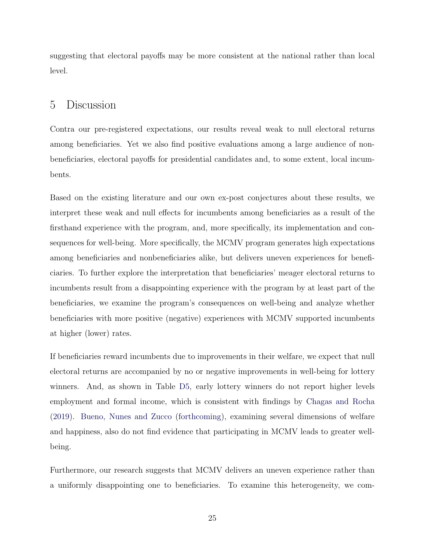suggesting that electoral payoffs may be more consistent at the national rather than local level.

#### <span id="page-24-0"></span>5 Discussion

Contra our pre-registered expectations, our results reveal weak to null electoral returns among beneficiaries. Yet we also find positive evaluations among a large audience of nonbeneficiaries, electoral payoffs for presidential candidates and, to some extent, local incumbents.

Based on the existing literature and our own ex-post conjectures about these results, we interpret these weak and null effects for incumbents among beneficiaries as a result of the firsthand experience with the program, and, more specifically, its implementation and consequences for well-being. More specifically, the MCMV program generates high expectations among beneficiaries and nonbeneficiaries alike, but delivers uneven experiences for beneficiaries. To further explore the interpretation that beneficiaries' meager electoral returns to incumbents result from a disappointing experience with the program by at least part of the beneficiaries, we examine the program's consequences on well-being and analyze whether beneficiaries with more positive (negative) experiences with MCMV supported incumbents at higher (lower) rates.

If beneficiaries reward incumbents due to improvements in their welfare, we expect that null electoral returns are accompanied by no or negative improvements in well-being for lottery winners. And, as shown in Table [D5,](#page-44-0) early lottery winners do not report higher levels employment and formal income, which is consistent with findings by [Chagas and Rocha](#page-31-7) [\(2019\)](#page-31-7). [Bueno, Nunes and Zucco](#page-31-8) [\(forthcoming\)](#page-31-8), examining several dimensions of welfare and happiness, also do not find evidence that participating in MCMV leads to greater wellbeing.

Furthermore, our research suggests that MCMV delivers an uneven experience rather than a uniformly disappointing one to beneficiaries. To examine this heterogeneity, we com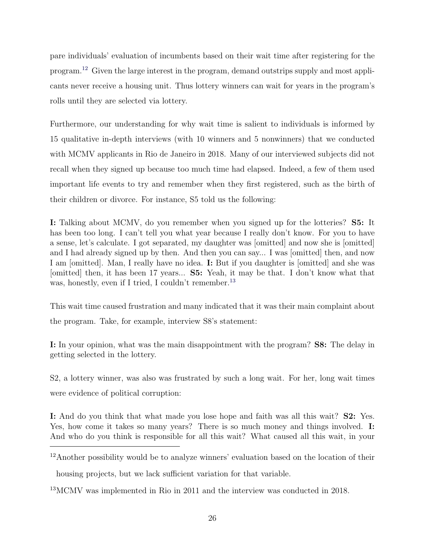pare individuals' evaluation of incumbents based on their wait time after registering for the program.[12](#page-25-0) Given the large interest in the program, demand outstrips supply and most applicants never receive a housing unit. Thus lottery winners can wait for years in the program's rolls until they are selected via lottery.

Furthermore, our understanding for why wait time is salient to individuals is informed by 15 qualitative in-depth interviews (with 10 winners and 5 nonwinners) that we conducted with MCMV applicants in Rio de Janeiro in 2018. Many of our interviewed subjects did not recall when they signed up because too much time had elapsed. Indeed, a few of them used important life events to try and remember when they first registered, such as the birth of their children or divorce. For instance, S5 told us the following:

I: Talking about MCMV, do you remember when you signed up for the lotteries? S5: It has been too long. I can't tell you what year because I really don't know. For you to have a sense, let's calculate. I got separated, my daughter was [omitted] and now she is [omitted] and I had already signed up by then. And then you can say... I was [omitted] then, and now I am [omitted]. Man, I really have no idea. I: But if you daughter is [omitted] and she was [omitted] then, it has been 17 years... S5: Yeah, it may be that. I don't know what that was, honestly, even if I tried, I couldn't remember.<sup>[13](#page-25-1)</sup>

This wait time caused frustration and many indicated that it was their main complaint about the program. Take, for example, interview S8's statement:

I: In your opinion, what was the main disappointment with the program? S8: The delay in getting selected in the lottery.

S2, a lottery winner, was also was frustrated by such a long wait. For her, long wait times were evidence of political corruption:

I: And do you think that what made you lose hope and faith was all this wait? S2: Yes. Yes, how come it takes so many years? There is so much money and things involved. **I:** And who do you think is responsible for all this wait? What caused all this wait, in your

<span id="page-25-0"></span><sup>&</sup>lt;sup>12</sup>Another possibility would be to analyze winners' evaluation based on the location of their

<span id="page-25-1"></span>housing projects, but we lack sufficient variation for that variable.

<sup>&</sup>lt;sup>13</sup>MCMV was implemented in Rio in 2011 and the interview was conducted in 2018.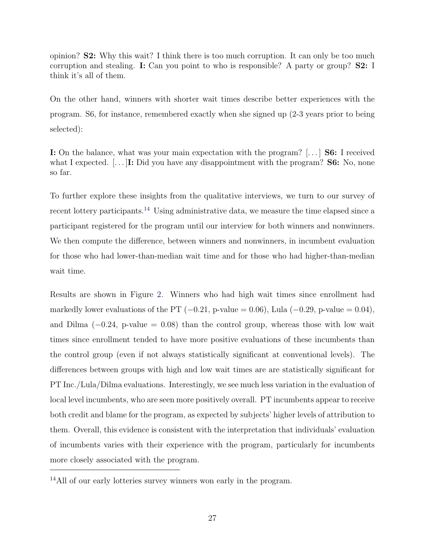opinion? S2: Why this wait? I think there is too much corruption. It can only be too much corruption and stealing. I: Can you point to who is responsible? A party or group? S2: I think it's all of them.

On the other hand, winners with shorter wait times describe better experiences with the program. S6, for instance, remembered exactly when she signed up (2-3 years prior to being selected):

I: On the balance, what was your main expectation with the program? [. . . ] S6: I received what I expected.  $[\dots]$ **I:** Did you have any disappointment with the program? **S6:** No, none so far.

To further explore these insights from the qualitative interviews, we turn to our survey of recent lottery participants.<sup>[14](#page-26-0)</sup> Using administrative data, we measure the time elapsed since a participant registered for the program until our interview for both winners and nonwinners. We then compute the difference, between winners and nonwinners, in incumbent evaluation for those who had lower-than-median wait time and for those who had higher-than-median wait time.

Results are shown in Figure [2.](#page-27-0) Winners who had high wait times since enrollment had markedly lower evaluations of the PT  $(-0.21, p-value = 0.06)$ , Lula  $(-0.29, p-value = 0.04)$ , and Dilma  $(-0.24, p-value = 0.08)$  than the control group, whereas those with low wait times since enrollment tended to have more positive evaluations of these incumbents than the control group (even if not always statistically significant at conventional levels). The differences between groups with high and low wait times are are statistically significant for PT Inc./Lula/Dilma evaluations. Interestingly, we see much less variation in the evaluation of local level incumbents, who are seen more positively overall. PT incumbents appear to receive both credit and blame for the program, as expected by subjects' higher levels of attribution to them. Overall, this evidence is consistent with the interpretation that individuals' evaluation of incumbents varies with their experience with the program, particularly for incumbents more closely associated with the program.

<span id="page-26-0"></span><sup>&</sup>lt;sup>14</sup>All of our early lotteries survey winners won early in the program.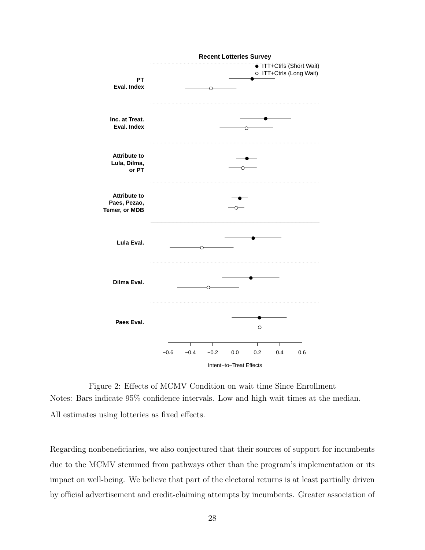<span id="page-27-0"></span>

Figure 2: Effects of MCMV Condition on wait time Since Enrollment Notes: Bars indicate 95% confidence intervals. Low and high wait times at the median. All estimates using lotteries as fixed effects.

Regarding nonbeneficiaries, we also conjectured that their sources of support for incumbents due to the MCMV stemmed from pathways other than the program's implementation or its impact on well-being. We believe that part of the electoral returns is at least partially driven by official advertisement and credit-claiming attempts by incumbents. Greater association of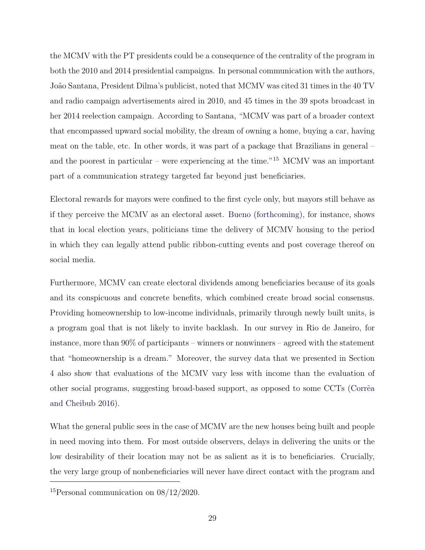the MCMV with the PT presidents could be a consequence of the centrality of the program in both the 2010 and 2014 presidential campaigns. In personal communication with the authors, João Santana, President Dilma's publicist, noted that MCMV was cited 31 times in the 40 TV and radio campaign advertisements aired in 2010, and 45 times in the 39 spots broadcast in her 2014 reelection campaign. According to Santana, "MCMV was part of a broader context that encompassed upward social mobility, the dream of owning a home, buying a car, having meat on the table, etc. In other words, it was part of a package that Brazilians in general – and the poorest in particular – were experiencing at the time."<sup>[15](#page-28-0)</sup> MCMV was an important part of a communication strategy targeted far beyond just beneficiaries.

Electoral rewards for mayors were confined to the first cycle only, but mayors still behave as if they perceive the MCMV as an electoral asset. [Bueno](#page-31-6) [\(forthcoming\)](#page-31-6), for instance, shows that in local election years, politicians time the delivery of MCMV housing to the period in which they can legally attend public ribbon-cutting events and post coverage thereof on social media.

Furthermore, MCMV can create electoral dividends among beneficiaries because of its goals and its conspicuous and concrete benefits, which combined create broad social consensus. Providing homeownership to low-income individuals, primarily through newly built units, is a program goal that is not likely to invite backlash. In our survey in Rio de Janeiro, for instance, more than 90% of participants – winners or nonwinners – agreed with the statement that "homeownership is a dream." Moreover, the survey data that we presented in Section [4](#page-18-0) also show that evaluations of the MCMV vary less with income than the evaluation of other social programs, suggesting broad-based support, as opposed to some CCTs (Corrêa [and Cheibub](#page-32-5) [2016\)](#page-32-5).

What the general public sees in the case of MCMV are the new houses being built and people in need moving into them. For most outside observers, delays in delivering the units or the low desirability of their location may not be as salient as it is to beneficiaries. Crucially, the very large group of nonbeneficiaries will never have direct contact with the program and

<span id="page-28-0"></span><sup>15</sup>Personal communication on 08/12/2020.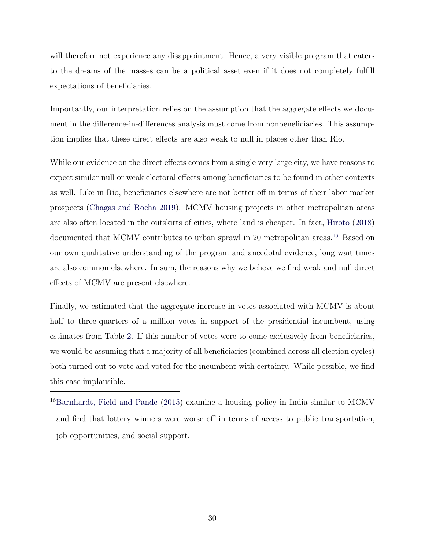will therefore not experience any disappointment. Hence, a very visible program that caters to the dreams of the masses can be a political asset even if it does not completely fulfill expectations of beneficiaries.

Importantly, our interpretation relies on the assumption that the aggregate effects we document in the difference-in-differences analysis must come from nonbeneficiaries. This assumption implies that these direct effects are also weak to null in places other than Rio.

While our evidence on the direct effects comes from a single very large city, we have reasons to expect similar null or weak electoral effects among beneficiaries to be found in other contexts as well. Like in Rio, beneficiaries elsewhere are not better off in terms of their labor market prospects [\(Chagas and Rocha](#page-31-7) [2019\)](#page-31-7). MCMV housing projects in other metropolitan areas are also often located in the outskirts of cities, where land is cheaper. In fact, [Hiroto](#page-32-10) [\(2018\)](#page-32-10) documented that MCMV contributes to urban sprawl in 20 metropolitan areas.<sup>[16](#page-29-0)</sup> Based on our own qualitative understanding of the program and anecdotal evidence, long wait times are also common elsewhere. In sum, the reasons why we believe we find weak and null direct effects of MCMV are present elsewhere.

Finally, we estimated that the aggregate increase in votes associated with MCMV is about half to three-quarters of a million votes in support of the presidential incumbent, using estimates from Table [2.](#page-23-2) If this number of votes were to come exclusively from beneficiaries, we would be assuming that a majority of all beneficiaries (combined across all election cycles) both turned out to vote and voted for the incumbent with certainty. While possible, we find this case implausible.

<span id="page-29-0"></span><sup>16</sup>[Barnhardt, Field and Pande](#page-31-9) [\(2015\)](#page-31-9) examine a housing policy in India similar to MCMV and find that lottery winners were worse off in terms of access to public transportation, job opportunities, and social support.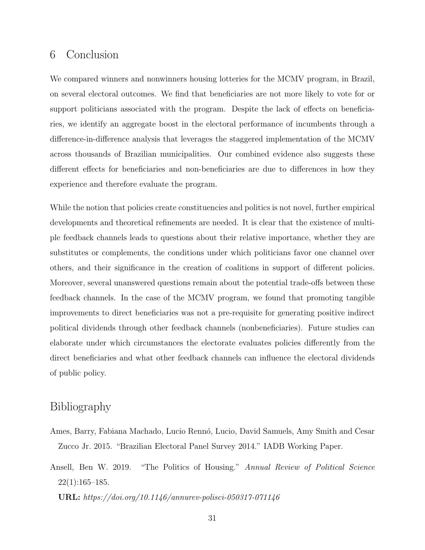### <span id="page-30-1"></span>6 Conclusion

We compared winners and nonwinners housing lotteries for the MCMV program, in Brazil, on several electoral outcomes. We find that beneficiaries are not more likely to vote for or support politicians associated with the program. Despite the lack of effects on beneficiaries, we identify an aggregate boost in the electoral performance of incumbents through a difference-in-difference analysis that leverages the staggered implementation of the MCMV across thousands of Brazilian municipalities. Our combined evidence also suggests these different effects for beneficiaries and non-beneficiaries are due to differences in how they experience and therefore evaluate the program.

While the notion that policies create constituencies and politics is not novel, further empirical developments and theoretical refinements are needed. It is clear that the existence of multiple feedback channels leads to questions about their relative importance, whether they are substitutes or complements, the conditions under which politicians favor one channel over others, and their significance in the creation of coalitions in support of different policies. Moreover, several unanswered questions remain about the potential trade-offs between these feedback channels. In the case of the MCMV program, we found that promoting tangible improvements to direct beneficiaries was not a pre-requisite for generating positive indirect political dividends through other feedback channels (nonbeneficiaries). Future studies can elaborate under which circumstances the electorate evaluates policies differently from the direct beneficiaries and what other feedback channels can influence the electoral dividends of public policy.

### Bibliography

- <span id="page-30-2"></span>Ames, Barry, Fabiana Machado, Lucio Rennó, Lucio, David Samuels, Amy Smith and Cesar Zucco Jr. 2015. "Brazilian Electoral Panel Survey 2014." IADB Working Paper.
- <span id="page-30-0"></span>Ansell, Ben W. 2019. "The Politics of Housing." Annual Review of Political Science  $22(1):165-185.$

URL: https://doi.org/10.1146/annurev-polisci-050317-071146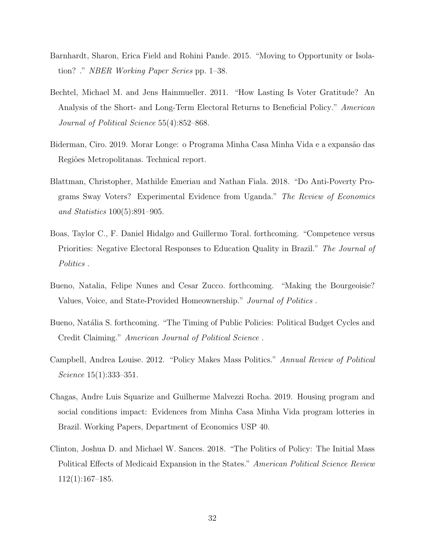- <span id="page-31-9"></span>Barnhardt, Sharon, Erica Field and Rohini Pande. 2015. "Moving to Opportunity or Isolation? ." NBER Working Paper Series pp. 1–38.
- <span id="page-31-1"></span>Bechtel, Michael M. and Jens Hainmueller. 2011. "How Lasting Is Voter Gratitude? An Analysis of the Short- and Long-Term Electoral Returns to Beneficial Policy." American Journal of Political Science 55(4):852–868.
- <span id="page-31-5"></span>Biderman, Ciro. 2019. Morar Longe: o Programa Minha Casa Minha Vida e a expansão das Regiões Metropolitanas. Technical report.
- <span id="page-31-2"></span>Blattman, Christopher, Mathilde Emeriau and Nathan Fiala. 2018. "Do Anti-Poverty Programs Sway Voters? Experimental Evidence from Uganda." The Review of Economics and Statistics 100(5):891–905.
- <span id="page-31-4"></span>Boas, Taylor C., F. Daniel Hidalgo and Guillermo Toral. forthcoming. "Competence versus Priorities: Negative Electoral Responses to Education Quality in Brazil." The Journal of Politics.
- <span id="page-31-8"></span>Bueno, Natalia, Felipe Nunes and Cesar Zucco. forthcoming. "Making the Bourgeoisie? Values, Voice, and State-Provided Homeownership." Journal of Politics .
- <span id="page-31-6"></span>Bueno, Natália S. forthcoming. "The Timing of Public Policies: Political Budget Cycles and Credit Claiming." American Journal of Political Science .
- <span id="page-31-0"></span>Campbell, Andrea Louise. 2012. "Policy Makes Mass Politics." Annual Review of Political Science 15(1):333–351.
- <span id="page-31-7"></span>Chagas, Andre Luis Squarize and Guilherme Malvezzi Rocha. 2019. Housing program and social conditions impact: Evidences from Minha Casa Minha Vida program lotteries in Brazil. Working Papers, Department of Economics USP 40.
- <span id="page-31-3"></span>Clinton, Joshua D. and Michael W. Sances. 2018. "The Politics of Policy: The Initial Mass Political Effects of Medicaid Expansion in the States." American Political Science Review 112(1):167–185.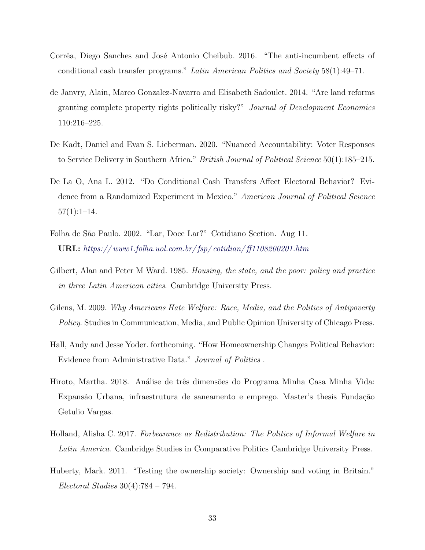- <span id="page-32-5"></span>Corrêa, Diego Sanches and José Antonio Cheibub. 2016. "The anti-incumbent effects of conditional cash transfer programs." Latin American Politics and Society 58(1):49–71.
- <span id="page-32-3"></span>de Janvry, Alain, Marco Gonzalez-Navarro and Elisabeth Sadoulet. 2014. "Are land reforms granting complete property rights politically risky?" Journal of Development Economics 110:216–225.
- <span id="page-32-1"></span>De Kadt, Daniel and Evan S. Lieberman. 2020. "Nuanced Accountability: Voter Responses to Service Delivery in Southern Africa." *British Journal of Political Science* 50(1):185–215.
- <span id="page-32-0"></span>De La O, Ana L. 2012. "Do Conditional Cash Transfers Affect Electoral Behavior? Evidence from a Randomized Experiment in Mexico." American Journal of Political Science  $57(1):1-14.$
- <span id="page-32-8"></span>Folha de S˜ao Paulo. 2002. "Lar, Doce Lar?" Cotidiano Section. Aug 11. URL: [https:// www1.folha.uol.com.br/ fsp/ cotidian/ ff1108200201.htm](https://www1.folha.uol.com.br/fsp/cotidian/ff1108200201.htm)
- <span id="page-32-7"></span>Gilbert, Alan and Peter M Ward. 1985. Housing, the state, and the poor: policy and practice in three Latin American cities. Cambridge University Press.
- <span id="page-32-9"></span>Gilens, M. 2009. Why Americans Hate Welfare: Race, Media, and the Politics of Antipoverty Policy. Studies in Communication, Media, and Public Opinion University of Chicago Press.
- <span id="page-32-2"></span>Hall, Andy and Jesse Yoder. forthcoming. "How Homeownership Changes Political Behavior: Evidence from Administrative Data." Journal of Politics .
- <span id="page-32-10"></span>Hiroto, Martha. 2018. Análise de três dimensões do Programa Minha Casa Minha Vida: Expansão Urbana, infraestrutura de saneamento e emprego. Master's thesis Fundação Getulio Vargas.
- <span id="page-32-6"></span>Holland, Alisha C. 2017. Forbearance as Redistribution: The Politics of Informal Welfare in Latin America. Cambridge Studies in Comparative Politics Cambridge University Press.
- <span id="page-32-4"></span>Huberty, Mark. 2011. "Testing the ownership society: Ownership and voting in Britain."  $Electoral Studies 30(4):784-794.$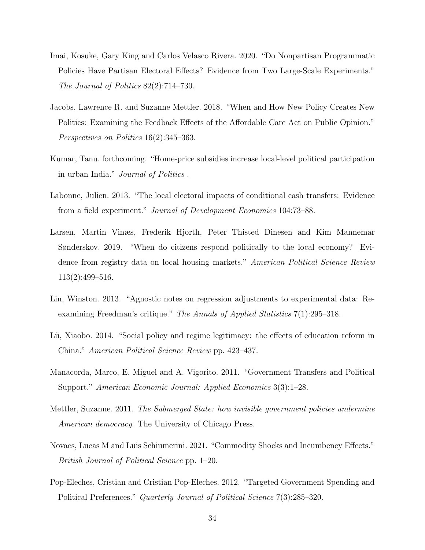- <span id="page-33-3"></span>Imai, Kosuke, Gary King and Carlos Velasco Rivera. 2020. "Do Nonpartisan Programmatic Policies Have Partisan Electoral Effects? Evidence from Two Large-Scale Experiments." The Journal of Politics 82(2):714–730.
- <span id="page-33-0"></span>Jacobs, Lawrence R. and Suzanne Mettler. 2018. "When and How New Policy Creates New Politics: Examining the Feedback Effects of the Affordable Care Act on Public Opinion." Perspectives on Politics 16(2):345–363.
- <span id="page-33-4"></span>Kumar, Tanu. forthcoming. "Home-price subsidies increase local-level political participation in urban India." Journal of Politics .
- <span id="page-33-8"></span>Labonne, Julien. 2013. "The local electoral impacts of conditional cash transfers: Evidence from a field experiment." Journal of Development Economics 104:73–88.
- <span id="page-33-7"></span>Larsen, Martin Vinæs, Frederik Hjorth, Peter Thisted Dinesen and Kim Mannemar Sønderskov. 2019. "When do citizens respond politically to the local economy? Evidence from registry data on local housing markets." American Political Science Review 113(2):499–516.
- <span id="page-33-9"></span>Lin, Winston. 2013. "Agnostic notes on regression adjustments to experimental data: Reexamining Freedman's critique." The Annals of Applied Statistics 7(1):295–318.
- <span id="page-33-5"></span>Lü, Xiaobo. 2014. "Social policy and regime legitimacy: the effects of education reform in China." American Political Science Review pp. 423–437.
- <span id="page-33-1"></span>Manacorda, Marco, E. Miguel and A. Vigorito. 2011. "Government Transfers and Political Support." American Economic Journal: Applied Economics 3(3):1–28.
- <span id="page-33-6"></span>Mettler, Suzanne. 2011. The Submerged State: how invisible government policies undermine American democracy. The University of Chicago Press.
- <span id="page-33-10"></span>Novaes, Lucas M and Luis Schiumerini. 2021. "Commodity Shocks and Incumbency Effects." British Journal of Political Science pp. 1–20.
- <span id="page-33-2"></span>Pop-Eleches, Cristian and Cristian Pop-Eleches. 2012. "Targeted Government Spending and Political Preferences." Quarterly Journal of Political Science 7(3):285–320.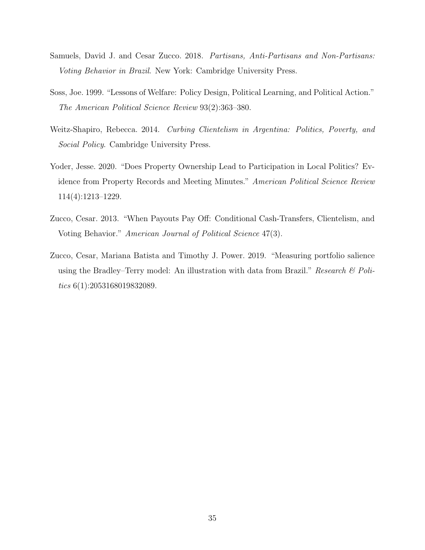- <span id="page-34-5"></span>Samuels, David J. and Cesar Zucco. 2018. Partisans, Anti-Partisans and Non-Partisans: Voting Behavior in Brazil. New York: Cambridge University Press.
- <span id="page-34-3"></span>Soss, Joe. 1999. "Lessons of Welfare: Policy Design, Political Learning, and Political Action." The American Political Science Review 93(2):363–380.
- <span id="page-34-2"></span>Weitz-Shapiro, Rebecca. 2014. Curbing Clientelism in Argentina: Politics, Poverty, and Social Policy. Cambridge University Press.
- <span id="page-34-1"></span>Yoder, Jesse. 2020. "Does Property Ownership Lead to Participation in Local Politics? Evidence from Property Records and Meeting Minutes." American Political Science Review 114(4):1213–1229.
- <span id="page-34-0"></span>Zucco, Cesar. 2013. "When Payouts Pay Off: Conditional Cash-Transfers, Clientelism, and Voting Behavior." American Journal of Political Science 47(3).
- <span id="page-34-4"></span>Zucco, Cesar, Mariana Batista and Timothy J. Power. 2019. "Measuring portfolio salience using the Bradley–Terry model: An illustration with data from Brazil." Research  $\mathcal B$  Politics 6(1):2053168019832089.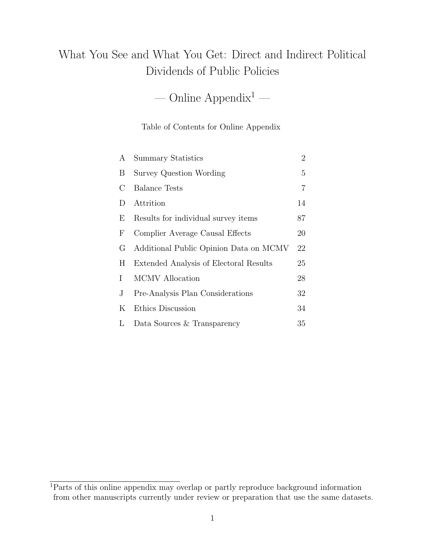# What You See and What You Get: Direct and Indirect Political Dividends of Public Policies

— Online Appendix<sup>[1](#page-35-0)</sup> —

#### Table of Contents for Online Appendix

| A          | <b>Summary Statistics</b>              | $\overline{2}$ |
|------------|----------------------------------------|----------------|
| B          | Survey Question Wording                | 5              |
| $\rm C$    | <b>Balance Tests</b>                   | 7              |
| D          | Attrition                              | 14             |
| E          | Results for individual survey items    | 87             |
| $_{\rm F}$ | Complier Average Causal Effects        | 20             |
| G          | Additional Public Opinion Data on MCMV | 22             |
| H.         | Extended Analysis of Electoral Results | 25             |
| L          | <b>MCMV</b> Allocation                 | 28             |
| J          | Pre-Analysis Plan Considerations       | 32             |
| Κ          | Ethics Discussion                      | 34             |
| L          | Data Sources & Transparency            | 35             |

<span id="page-35-0"></span><sup>1</sup>Parts of this online appendix may overlap or partly reproduce background information from other manuscripts currently under review or preparation that use the same datasets.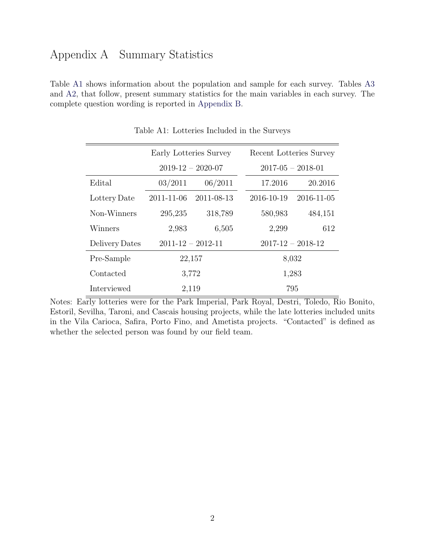### Appendix A Summary Statistics

Table [A1](#page-14-0) shows information about the population and sample for each survey. Tables [A3](#page-38-0) and [A2,](#page-23-2) that follow, present summary statistics for the main variables in each survey. The complete question wording is reported in [Appendix B.](#page-7-0)

|                |            | Early Lotteries Survey  |                         | Recent Lotteries Survey |  |
|----------------|------------|-------------------------|-------------------------|-------------------------|--|
|                |            | $2019 - 12 - 2020 - 07$ | $2017 - 05 - 2018 - 01$ |                         |  |
| Edital         | 03/2011    | 06/2011                 | 17.2016                 | 20.2016                 |  |
| Lottery Date   | 2011-11-06 | 2011-08-13              | 2016-10-19              | 2016-11-05              |  |
| Non-Winners    | 295,235    | 318,789                 | 580,983                 | 484,151                 |  |
| Winners        | 2,983      | 6,505                   | 2,299                   | 612                     |  |
| Delivery Dates |            | $2011 - 12 - 2012 - 11$ |                         | $2017 - 12 - 2018 - 12$ |  |
| Pre-Sample     |            | 22,157                  |                         | 8,032                   |  |
| Contacted      |            | 3,772                   | 1,283                   |                         |  |
| Interviewed    |            | 2,119                   |                         | 795                     |  |

Table A1: Lotteries Included in the Surveys

Notes: Early lotteries were for the Park Imperial, Park Royal, Destri, Toledo, Rio Bonito, Estoril, Sevilha, Taroni, and Cascais housing projects, while the late lotteries included units in the Vila Carioca, Safira, Porto Fino, and Ametista projects. "Contacted" is defined as whether the selected person was found by our field team.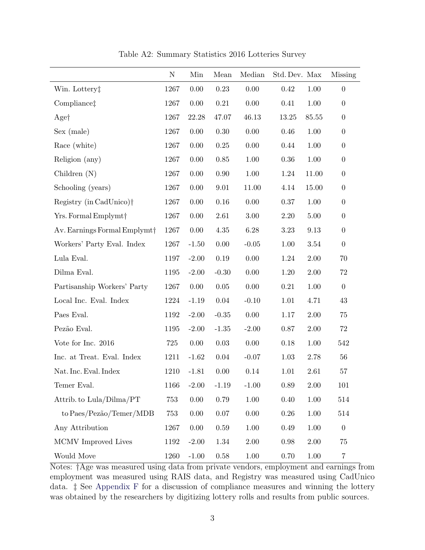|                                          | $\mathbf N$ | Min      | Mean     | Median   | Std. Dev. Max |          | <b>Missing</b>   |
|------------------------------------------|-------------|----------|----------|----------|---------------|----------|------------------|
| Win. Lottery <sup>+</sup>                | 1267        | 0.00     | 0.23     | 0.00     | 0.42          | 1.00     | $\overline{0}$   |
| Compliance <sup>†</sup>                  | 1267        | 0.00     | 0.21     | 0.00     | 0.41          | 1.00     | $\boldsymbol{0}$ |
| Aget                                     | 1267        | 22.28    | 47.07    | 46.13    | $13.25\,$     | 85.55    | $\boldsymbol{0}$ |
| Sex (male)                               | 1267        | 0.00     | 0.30     | 0.00     | 0.46          | $1.00\,$ | $\boldsymbol{0}$ |
| Race (white)                             | 1267        | 0.00     | $0.25\,$ | 0.00     | 0.44          | 1.00     | $\boldsymbol{0}$ |
| Religion (any)                           | 1267        | 0.00     | 0.85     | 1.00     | 0.36          | 1.00     | $\boldsymbol{0}$ |
| Children $(N)$                           | 1267        | 0.00     | 0.90     | 1.00     | 1.24          | 11.00    | $\boldsymbol{0}$ |
| Schooling (years)                        | $1267\,$    | 0.00     | 9.01     | 11.00    | 4.14          | 15.00    | $\overline{0}$   |
| Registry (in CadUnico) <sup>†</sup>      | 1267        | 0.00     | 0.16     | 0.00     | 0.37          | 1.00     | $\boldsymbol{0}$ |
| Yrs. Formal Emplymt <sup>+</sup>         | 1267        | 0.00     | 2.61     | 3.00     | 2.20          | 5.00     | $\boldsymbol{0}$ |
| Av. Earnings Formal Emplymt <sup>+</sup> | 1267        | 0.00     | 4.35     | 6.28     | 3.23          | 9.13     | $\boldsymbol{0}$ |
| Workers' Party Eval. Index               | 1267        | $-1.50$  | $0.00\,$ | $-0.05$  | 1.00          | 3.54     | $\boldsymbol{0}$ |
| Lula Eval.                               | 1197        | $-2.00$  | $0.19\,$ | 0.00     | 1.24          | 2.00     | 70               |
| Dilma Eval.                              | 1195        | $-2.00$  | $-0.30$  | 0.00     | 1.20          | 2.00     | 72               |
| Partisanship Workers' Party              | 1267        | 0.00     | 0.05     | 0.00     | 0.21          | 1.00     | $\overline{0}$   |
| Local Inc. Eval. Index                   | 1224        | $-1.19$  | $0.04\,$ | $-0.10$  | 1.01          | 4.71     | 43               |
| Paes Eval.                               | 1192        | $-2.00$  | $-0.35$  | 0.00     | 1.17          | 2.00     | 75               |
| Pezão Eval.                              | 1195        | $-2.00$  | $-1.35$  | $-2.00$  | 0.87          | 2.00     | 72               |
| Vote for Inc. 2016                       | 725         | 0.00     | $0.03\,$ | 0.00     | 0.18          | 1.00     | 542              |
| Inc. at Treat. Eval. Index               | 1211        | $-1.62$  | 0.04     | $-0.07$  | 1.03          | 2.78     | 56               |
| Nat. Inc. Eval. Index                    | 1210        | $-1.81$  | 0.00     | 0.14     | 1.01          | 2.61     | 57               |
| Temer Eval.                              | 1166        | $-2.00$  | $-1.19$  | $-1.00$  | $0.89\,$      | $2.00\,$ | 101              |
| Attrib. to Lula/Dilma/PT                 | 753         | $0.00\,$ | 0.79     | 1.00     | $0.40\,$      | 1.00     | 514              |
| to Paes/Pezão/Temer/MDB                  | 753         | $0.00\,$ | $0.07\,$ | $0.00\,$ | $0.26\,$      | $1.00\,$ | 514              |
| Any Attribution                          | 1267        | $0.00\,$ | $0.59\,$ | $1.00\,$ | 0.49          | $1.00\,$ | $\boldsymbol{0}$ |
| MCMV Improved Lives                      | 1192        | $-2.00$  | 1.34     | 2.00     | 0.98          | $2.00\,$ | 75               |
| Would Move                               | 1260        | $-1.00$  | $0.58\,$ | $1.00\,$ | $0.70\,$      | $1.00\,$ | $\overline{7}$   |

Table A2: Summary Statistics 2016 Lotteries Survey

Notes: †Age was measured using data from private vendors, employment and earnings from employment was measured using RAIS data, and Registry was measured using CadUnico data. ‡ See [Appendix F](#page-30-1) for a discussion of compliance measures and winning the lottery was obtained by the researchers by digitizing lottery rolls and results from public sources.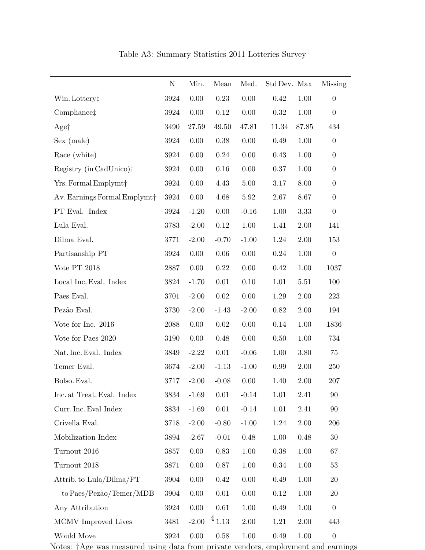<span id="page-38-0"></span>

|                                          | N    | Min.     | Mean        | Med.     | Std Dev. Max |          | <b>Missing</b>   |
|------------------------------------------|------|----------|-------------|----------|--------------|----------|------------------|
| Win. Lottery <sup>†</sup>                | 3924 | $0.00\,$ | $0.23\,$    | $0.00\,$ | $0.42\,$     | 1.00     | $\boldsymbol{0}$ |
| Compliance <sup>†</sup>                  | 3924 | 0.00     | $0.12\,$    | 0.00     | 0.32         | 1.00     | $\boldsymbol{0}$ |
| Aget                                     | 3490 | 27.59    | 49.50       | 47.81    | 11.34        | 87.85    | 434              |
| Sex (male)                               | 3924 | $0.00\,$ | $0.38\,$    | $0.00\,$ | 0.49         | $1.00\,$ | $\boldsymbol{0}$ |
| Race (white)                             | 3924 | 0.00     | 0.24        | 0.00     | 0.43         | 1.00     | $\boldsymbol{0}$ |
| Registry (in CadUnico) <sup>†</sup>      | 3924 | 0.00     | 0.16        | 0.00     | 0.37         | 1.00     | $\boldsymbol{0}$ |
| Yrs. Formal Emplymt <sup>+</sup>         | 3924 | 0.00     | 4.43        | 5.00     | 3.17         | 8.00     | $\boldsymbol{0}$ |
| Av. Earnings Formal Emplymt <sup>+</sup> | 3924 | $0.00\,$ | 4.68        | 5.92     | 2.67         | 8.67     | $\boldsymbol{0}$ |
| PT Eval. Index                           | 3924 | $-1.20$  | 0.00        | $-0.16$  | 1.00         | 3.33     | $\boldsymbol{0}$ |
| Lula Eval.                               | 3783 | $-2.00$  | $0.12\,$    | 1.00     | 1.41         | 2.00     | 141              |
| Dilma Eval.                              | 3771 | $-2.00$  | $-0.70$     | $-1.00$  | 1.24         | $2.00\,$ | 153              |
| Partisanship PT                          | 3924 | 0.00     | 0.06        | $0.00\,$ | 0.24         | 1.00     | $\boldsymbol{0}$ |
| Vote PT $2018$                           | 2887 | 0.00     | $0.22\,$    | $0.00\,$ | 0.42         | $1.00\,$ | 1037             |
| Local Inc. Eval. Index                   | 3824 | $-1.70$  | 0.01        | $0.10\,$ | 1.01         | 5.51     | 100              |
| Paes Eval.                               | 3701 | $-2.00$  | 0.02        | 0.00     | 1.29         | 2.00     | 223              |
| Pezão Eval.                              | 3730 | $-2.00$  | $-1.43$     | $-2.00$  | 0.82         | 2.00     | 194              |
| Vote for Inc. 2016                       | 2088 | 0.00     | $0.02\,$    | $0.00\,$ | 0.14         | $1.00\,$ | 1836             |
| Vote for Paes 2020                       | 3190 | 0.00     | 0.48        | $0.00\,$ | 0.50         | 1.00     | 734              |
| Nat. Inc. Eval. Index                    | 3849 | $-2.22$  | 0.01        | $-0.06$  | 1.00         | 3.80     | 75               |
| Temer Eval.                              | 3674 | $-2.00$  | $-1.13$     | $-1.00$  | 0.99         | 2.00     | 250              |
| Bolso. Eval.                             | 3717 | $-2.00$  | $-0.08$     | 0.00     | 1.40         | 2.00     | 207              |
| Inc. at Treat. Eval. Index               | 3834 | $-1.69$  | 0.01        | $-0.14$  | 1.01         | 2.41     | 90               |
| Curr. Inc. Eval Index                    | 3834 | $-1.69$  | 0.01        | $-0.14$  | 1.01         | 2.41     | 90               |
| Crivella Eval. $\,$                      | 3718 | $-2.00$  | $-0.80$     | $-1.00$  | 1.24         | $2.00\,$ | 206              |
| Mobilization Index                       | 3894 | $-2.67$  | $-0.01$     | 0.48     | 1.00         | 0.48     | $30\,$           |
| Turnout 2016                             | 3857 | $0.00\,$ | 0.83        | 1.00     | 0.38         | 1.00     | 67               |
| Turnout 2018                             | 3871 | 0.00     | 0.87        | 1.00     | 0.34         | 1.00     | 53               |
| Attrib. to Lula/Dilma/PT                 | 3904 | 0.00     | 0.42        | 0.00     | 0.49         | 1.00     | $20\,$           |
| to Paes/Pezão/Temer/MDB                  | 3904 | 0.00     | 0.01        | 0.00     | $0.12\,$     | 1.00     | $20\,$           |
| Any Attribution                          | 3924 | 0.00     | 0.61        | 1.00     | 0.49         | 1.00     | $\boldsymbol{0}$ |
| MCMV Improved Lives                      | 3481 | $-2.00$  | $^{4}$ 1.13 | $2.00\,$ | 1.21         | 2.00     | 443              |
| Would Move                               | 3924 | $0.00\,$ | $0.58\,$    | 1.00     | 0.49         | 1.00     | $\boldsymbol{0}$ |

Table A3: Summary Statistics 2011 Lotteries Survey

Notes: †Age was measured using data from private vendors, employment and earnings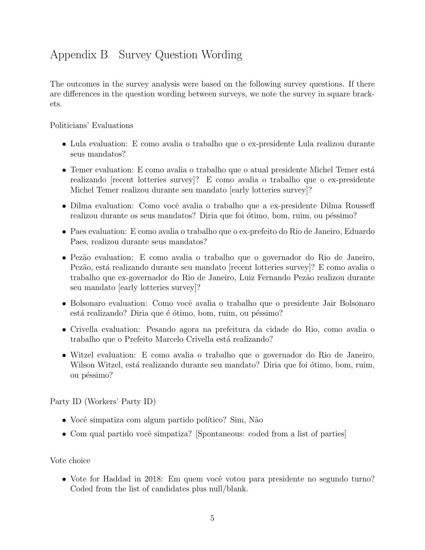# Appendix B Survey Question Wording

The outcomes in the survey analysis were based on the following survey questions. If there are differences in the question wording between surveys, we note the survey in square brackets.

Politicians' Evaluations

- Lula evaluation: E como avalia o trabalho que o ex-presidente Lula realizou durante seus mandatos?
- Temer evaluation: E como avalia o trabalho que o atual presidente Michel Temer está realizando [recent lotteries survey]? E como avalia o trabalho que o ex-presidente Michel Temer realizou durante seu mandato [early lotteries survey]?
- Dilma evaluation: Como você avalia o trabalho que a ex-presidente Dilma Rousseff realizou durante os seus mandatos? Diria que foi ótimo, bom, ruim, ou péssimo?
- Paes evaluation: E como avalia o trabalho que o ex-prefeito do Rio de Janeiro, Eduardo Paes, realizou durante seus mandatos?
- Pezão evaluation: E como avalia o trabalho que o governador do Rio de Janeiro, Pezão, está realizando durante seu mandato [recent lotteries survey]? E como avalia o trabalho que ex-governador do Rio de Janeiro, Luiz Fernando Pezão realizou durante seu mandato [early lotteries survey]?
- Bolsonaro evaluation: Como você avalia o trabalho que o presidente Jair Bolsonaro está realizando? Diria que é ótimo, bom, ruim, ou péssimo?
- Crivella evaluation: Pesando agora na prefeitura da cidade do Rio, como avalia o trabalho que o Prefeito Marcelo Crivella está realizando?
- Witzel evaluation: E como avalia o trabalho que o governador do Rio de Janeiro, Wilson Witzel, está realizando durante seu mandato? Diria que foi ótimo, bom, ruim, ou péssimo?

Party ID (Workers' Party ID)

- Você simpatiza com algum partido político? Sim, Não
- Com qual partido você simpatiza? [Spontaneous: coded from a list of parties]

Vote choice

• Vote for Haddad in 2018: Em quem você votou para presidente no segundo turno? Coded from the list of candidates plus null/blank.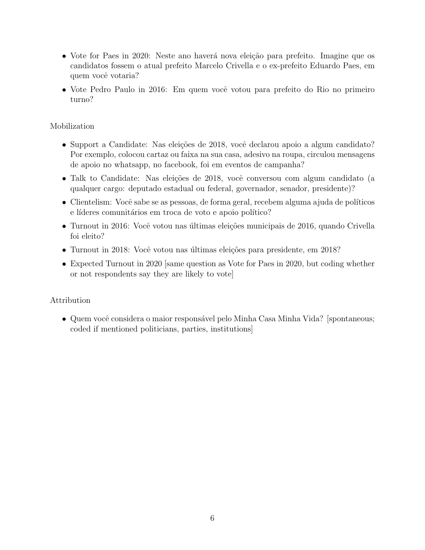- Vote for Paes in 2020: Neste ano haverá nova eleição para prefeito. Imagine que os candidatos fossem o atual prefeito Marcelo Crivella e o ex-prefeito Eduardo Paes, em quem você votaria?
- Vote Pedro Paulo in 2016: Em quem você votou para prefeito do Rio no primeiro turno?

#### Mobilization

- Support a Candidate: Nas eleições de 2018, você declarou apoio a algum candidato? Por exemplo, colocou cartaz ou faixa na sua casa, adesivo na roupa, circulou mensagens de apoio no whatsapp, no facebook, foi em eventos de campanha?
- Talk to Candidate: Nas eleições de 2018, você conversou com algum candidato (a qualquer cargo: deputado estadual ou federal, governador, senador, presidente)?
- Clientelism: Você sabe se as pessoas, de forma geral, recebem alguma ajuda de políticos e líderes comunitários em troca de voto e apoio político?
- Turnout in 2016: Você votou nas últimas eleições municipais de 2016, quando Crivella foi eleito?
- Turnout in 2018: Você votou nas últimas eleições para presidente, em 2018?
- Expected Turnout in 2020 [same question as Vote for Paes in 2020, but coding whether or not respondents say they are likely to vote]

#### Attribution

• Quem você considera o maior responsável pelo Minha Casa Minha Vida? [spontaneous; coded if mentioned politicians, parties, institutions]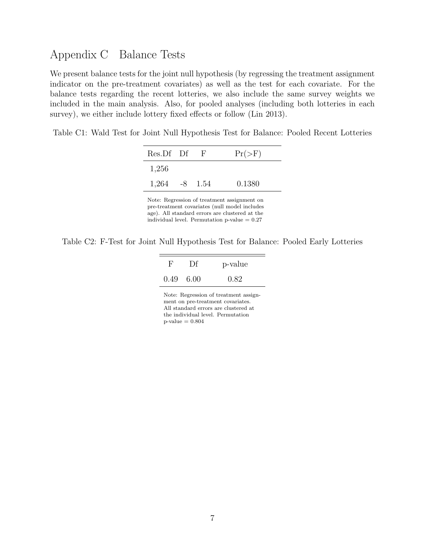### Appendix C Balance Tests

We present balance tests for the joint null hypothesis (by regressing the treatment assignment indicator on the pre-treatment covariates) as well as the test for each covariate. For the balance tests regarding the recent lotteries, we also include the same survey weights we included in the main analysis. Also, for pooled analyses (including both lotteries in each survey), we either include lottery fixed effects or follow (Lin 2013).

Table C1: Wald Test for Joint Null Hypothesis Test for Balance: Pooled Recent Lotteries

| Res.Df Df           | - F | $Pr(>\)$ |
|---------------------|-----|----------|
| 1,256               |     |          |
| $1,264$ $-8$ $1.54$ |     | 0.1380   |
| . . <del>.</del>    |     |          |

Note: Regression of treatment assignment on pre-treatment covariates (null model includes age). All standard errors are clustered at the individual level. Permutation  $p$ -value =  $0.27$ 

Table C2: F-Test for Joint Null Hypothesis Test for Balance: Pooled Early Lotteries

| F                 | Df | p-value |
|-------------------|----|---------|
| $0.49 \quad 6.00$ |    | 0.82    |

Note: Regression of treatment assignment on pre-treatment covariates. All standard errors are clustered at the individual level. Permutation  $\text{p-value}=0.804$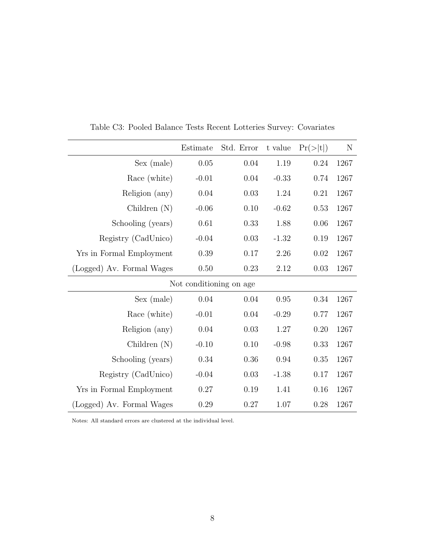|                           | Estimate                | Std. Error | t value  | Pr(> t ) | N    |
|---------------------------|-------------------------|------------|----------|----------|------|
| Sex (male)                | 0.05                    | 0.04       | 1.19     | 0.24     | 1267 |
| Race (white)              | $-0.01$                 | 0.04       | $-0.33$  | 0.74     | 1267 |
| Religion (any)            | 0.04                    | 0.03       | 1.24     | 0.21     | 1267 |
| Children $(N)$            | $-0.06$                 | 0.10       | $-0.62$  | 0.53     | 1267 |
| Schooling (years)         | 0.61                    | 0.33       | 1.88     | 0.06     | 1267 |
| Registry (CadUnico)       | $-0.04$                 | 0.03       | $-1.32$  | 0.19     | 1267 |
| Yrs in Formal Employment  | 0.39                    | 0.17       | $2.26\,$ | 0.02     | 1267 |
| (Logged) Av. Formal Wages | $0.50\,$                | 0.23       | 2.12     | 0.03     | 1267 |
|                           | Not conditioning on age |            |          |          |      |
| Sex (male)                | 0.04                    | 0.04       | 0.95     | 0.34     | 1267 |
| Race (white)              | $-0.01$                 | 0.04       | $-0.29$  | 0.77     | 1267 |
| Religion (any)            | 0.04                    | 0.03       | 1.27     | 0.20     | 1267 |
| Children $(N)$            | $-0.10$                 | 0.10       | $-0.98$  | 0.33     | 1267 |
| Schooling (years)         | 0.34                    | 0.36       | 0.94     | 0.35     | 1267 |
| Registry (CadUnico)       | $-0.04$                 | 0.03       | $-1.38$  | 0.17     | 1267 |
| Yrs in Formal Employment  | 0.27                    | 0.19       | 1.41     | 0.16     | 1267 |
| (Logged) Av. Formal Wages | 0.29                    | 0.27       | 1.07     | 0.28     | 1267 |

Table C3: Pooled Balance Tests Recent Lotteries Survey: Covariates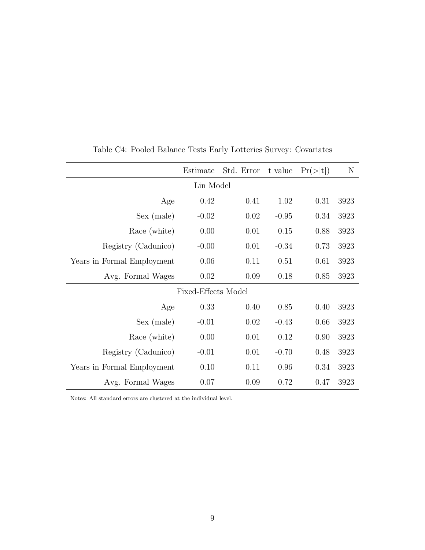<span id="page-43-0"></span>

|                            | Estimate            | Std. Error | t value | Pr(> t ) | N    |  |
|----------------------------|---------------------|------------|---------|----------|------|--|
|                            | Lin Model           |            |         |          |      |  |
| Age                        | 0.42                | 0.41       | 1.02    | 0.31     | 3923 |  |
| Sex (male)                 | $-0.02$             | 0.02       | $-0.95$ | 0.34     | 3923 |  |
| Race (white)               | 0.00                | 0.01       | 0.15    | 0.88     | 3923 |  |
| Registry (Cadunico)        | $-0.00$             | 0.01       | $-0.34$ | 0.73     | 3923 |  |
| Years in Formal Employment | 0.06                | 0.11       | 0.51    | 0.61     | 3923 |  |
| Avg. Formal Wages          | 0.02                | 0.09       | 0.18    | 0.85     | 3923 |  |
|                            | Fixed-Effects Model |            |         |          |      |  |
| Age                        | 0.33                | 0.40       | 0.85    | 0.40     | 3923 |  |
| Sex (male)                 | $-0.01$             | 0.02       | $-0.43$ | 0.66     | 3923 |  |
| Race (white)               | 0.00                | 0.01       | 0.12    | 0.90     | 3923 |  |
| Registry (Cadunico)        | $-0.01$             | 0.01       | $-0.70$ | 0.48     | 3923 |  |
| Years in Formal Employment | 0.10                | 0.11       | 0.96    | 0.34     | 3923 |  |
| Avg. Formal Wages          | 0.07                | 0.09       | 0.72    | 0.47     | 3923 |  |

Table C4: Pooled Balance Tests Early Lotteries Survey: Covariates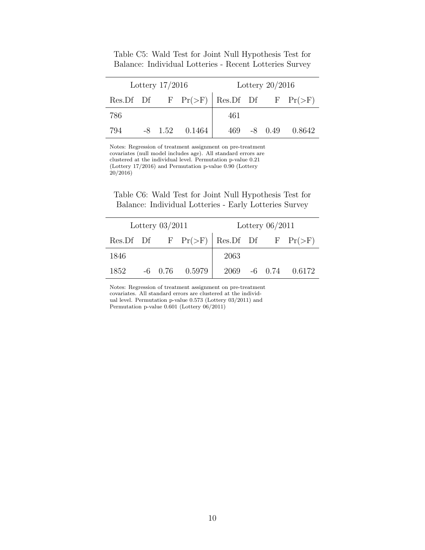<span id="page-44-0"></span>

| Lottery $17/2016$ |  |           |                                                     |     | Lottery $20/2016$ |        |
|-------------------|--|-----------|-----------------------------------------------------|-----|-------------------|--------|
|                   |  |           | Res. Df Df F $Pr(\geq F)$ Res. Df Df F $Pr(\geq F)$ |     |                   |        |
| -786              |  |           |                                                     | 461 |                   |        |
| 794               |  | $-8$ 1.52 | 0.1464                                              | 469 | $-8$ 0.49         | 0.8642 |

Table C5: Wald Test for Joint Null Hypothesis Test for Balance: Individual Lotteries - Recent Lotteries Survey

Notes: Regression of treatment assignment on pre-treatment covariates (null model includes age). All standard errors are clustered at the individual level. Permutation p-value 0.21 (Lottery 17/2016) and Permutation p-value 0.90 (Lottery 20/2016)

Table C6: Wald Test for Joint Null Hypothesis Test for Balance: Individual Lotteries - Early Lotteries Survey

| Lottery $03/2011$ |  |  |                                                     |      | Lottery $06/2011$ |                     |
|-------------------|--|--|-----------------------------------------------------|------|-------------------|---------------------|
|                   |  |  | Res. Df Df F $Pr(\geq F)$ Res. Df Df F $Pr(\geq F)$ |      |                   |                     |
| 1846              |  |  |                                                     | 2063 |                   |                     |
| 1852              |  |  | $-6$ 0.76 0.5979                                    |      |                   | 2069 -6 0.74 0.6172 |

Notes: Regression of treatment assignment on pre-treatment covariates. All standard errors are clustered at the individual level. Permutation p-value 0.573 (Lottery 03/2011) and Permutation p-value 0.601 (Lottery 06/2011)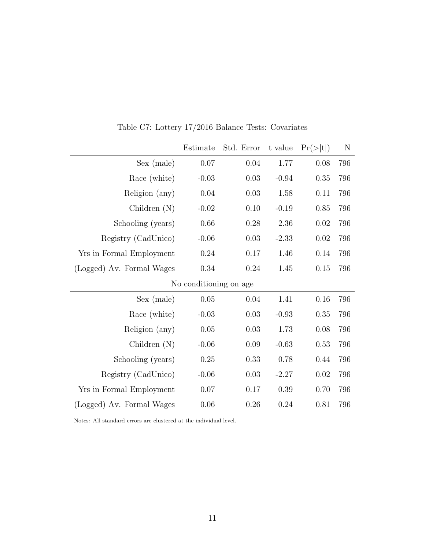|                           | Estimate               | Std. Error | t value | Pr(> t ) | N   |
|---------------------------|------------------------|------------|---------|----------|-----|
| Sex (male)                | 0.07                   | 0.04       | 1.77    | 0.08     | 796 |
| Race (white)              | $-0.03$                | 0.03       | $-0.94$ | 0.35     | 796 |
| Religion (any)            | $0.04\,$               | 0.03       | 1.58    | 0.11     | 796 |
| Children $(N)$            | $-0.02$                | 0.10       | $-0.19$ | 0.85     | 796 |
| Schooling (years)         | 0.66                   | 0.28       | 2.36    | 0.02     | 796 |
| Registry (CadUnico)       | $-0.06$                | 0.03       | $-2.33$ | $0.02\,$ | 796 |
| Yrs in Formal Employment  | $0.24\,$               | 0.17       | 1.46    | 0.14     | 796 |
| (Logged) Av. Formal Wages | 0.34                   | 0.24       | 1.45    | 0.15     | 796 |
|                           | No conditioning on age |            |         |          |     |
| Sex (male)                | $0.05\,$               | 0.04       | 1.41    | 0.16     | 796 |
| Race (white)              | $-0.03$                | 0.03       | $-0.93$ | 0.35     | 796 |
| Religion (any)            | $0.05\,$               | 0.03       | 1.73    | 0.08     | 796 |
| Children $(N)$            | $-0.06$                | 0.09       | $-0.63$ | 0.53     | 796 |
| Schooling (years)         | 0.25                   | 0.33       | 0.78    | 0.44     | 796 |
| Registry (CadUnico)       | $-0.06$                | $0.03\,$   | $-2.27$ | $0.02\,$ | 796 |
| Yrs in Formal Employment  | 0.07                   | 0.17       | 0.39    | 0.70     | 796 |
| (Logged) Av. Formal Wages | 0.06                   | 0.26       | 0.24    | 0.81     | 796 |

Table C7: Lottery 17/2016 Balance Tests: Covariates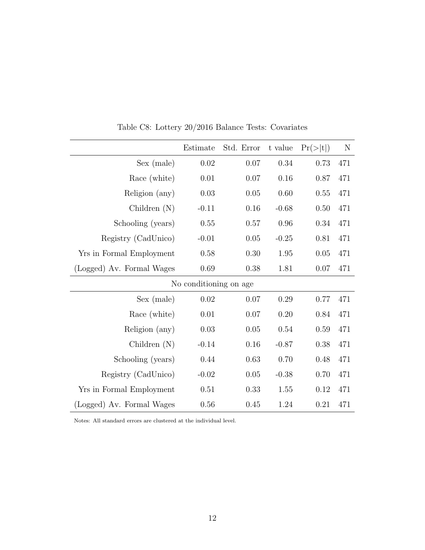|                           | Estimate               | Std. Error | t value | Pr(> t ) | N   |
|---------------------------|------------------------|------------|---------|----------|-----|
| Sex (male)                | 0.02                   | 0.07       | 0.34    | 0.73     | 471 |
| Race (white)              | 0.01                   | 0.07       | 0.16    | 0.87     | 471 |
| Religion (any)            | 0.03                   | 0.05       | 0.60    | 0.55     | 471 |
| Children $(N)$            | $-0.11$                | 0.16       | $-0.68$ | 0.50     | 471 |
| Schooling (years)         | 0.55                   | 0.57       | 0.96    | 0.34     | 471 |
| Registry (CadUnico)       | $-0.01$                | $0.05\,$   | $-0.25$ | 0.81     | 471 |
| Yrs in Formal Employment  | 0.58                   | 0.30       | 1.95    | $0.05\,$ | 471 |
| (Logged) Av. Formal Wages | 0.69                   | 0.38       | 1.81    | 0.07     | 471 |
|                           | No conditioning on age |            |         |          |     |
| Sex (male)                | 0.02                   | 0.07       | 0.29    | 0.77     | 471 |
| Race (white)              | 0.01                   | 0.07       | 0.20    | 0.84     | 471 |
| Religion (any)            | 0.03                   | $0.05\,$   | 0.54    | 0.59     | 471 |
| Children $(N)$            | $-0.14$                | 0.16       | $-0.87$ | 0.38     | 471 |
| Schooling (years)         | 0.44                   | 0.63       | 0.70    | 0.48     | 471 |
| Registry (CadUnico)       | $-0.02$                | $0.05\,$   | $-0.38$ | 0.70     | 471 |
| Yrs in Formal Employment  | 0.51                   | 0.33       | 1.55    | 0.12     | 471 |
| (Logged) Av. Formal Wages | 0.56                   | 0.45       | 1.24    | 0.21     | 471 |

Table C8: Lottery 20/2016 Balance Tests: Covariates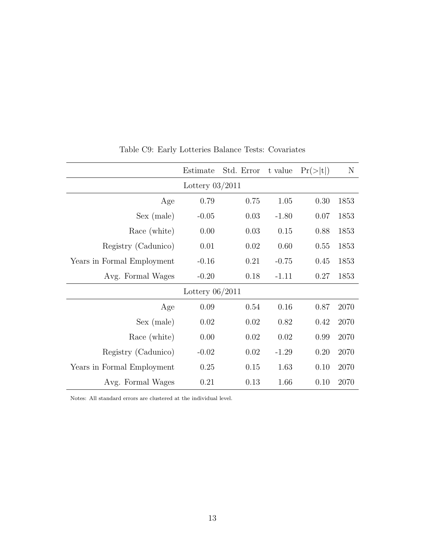|                            | Estimate          | Std. Error | t value | Pr(> t ) | N    |
|----------------------------|-------------------|------------|---------|----------|------|
|                            | Lottery $03/2011$ |            |         |          |      |
| Age                        | 0.79              | 0.75       | 1.05    | 0.30     | 1853 |
| Sex (male)                 | $-0.05$           | 0.03       | $-1.80$ | 0.07     | 1853 |
| Race (white)               | 0.00              | 0.03       | 0.15    | 0.88     | 1853 |
| Registry (Cadunico)        | 0.01              | 0.02       | 0.60    | 0.55     | 1853 |
| Years in Formal Employment | $-0.16$           | 0.21       | $-0.75$ | 0.45     | 1853 |
| Avg. Formal Wages          | $-0.20$           | 0.18       | $-1.11$ | 0.27     | 1853 |
|                            | Lottery $06/2011$ |            |         |          |      |
| Age                        | 0.09              | 0.54       | 0.16    | 0.87     | 2070 |
| Sex (male)                 | 0.02              | 0.02       | 0.82    | 0.42     | 2070 |
| Race (white)               | 0.00              | 0.02       | 0.02    | 0.99     | 2070 |
| Registry (Cadunico)        | $-0.02$           | 0.02       | $-1.29$ | 0.20     | 2070 |
| Years in Formal Employment | 0.25              | 0.15       | 1.63    | 0.10     | 2070 |
| Avg. Formal Wages          | 0.21              | 0.13       | 1.66    | 0.10     | 2070 |

Table C9: Early Lotteries Balance Tests: Covariates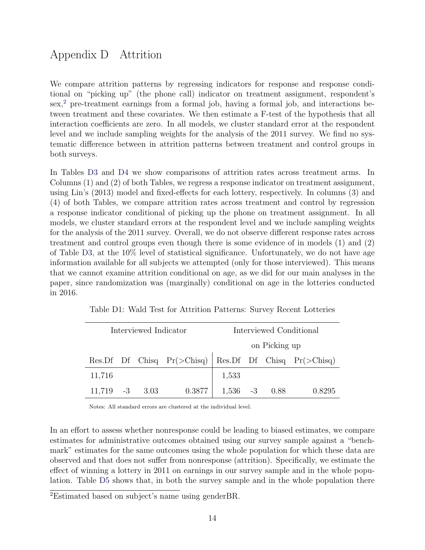# Appendix D Attrition

We compare attrition patterns by regressing indicators for response and response conditional on "picking up" (the phone call) indicator on treatment assignment, respondent's sex, $<sup>2</sup>$  $<sup>2</sup>$  $<sup>2</sup>$  pre-treatment earnings from a formal job, having a formal job, and interactions be-</sup> tween treatment and these covariates. We then estimate a F-test of the hypothesis that all interaction coefficients are zero. In all models, we cluster standard error at the respondent level and we include sampling weights for the analysis of the 2011 survey. We find no systematic difference between in attrition patterns between treatment and control groups in both surveys.

In Tables [D3](#page-38-0) and [D4](#page-43-0) we show comparisons of attrition rates across treatment arms. In Columns (1) and (2) of both Tables, we regress a response indicator on treatment assignment, using Lin's (2013) model and fixed-effects for each lottery, respectively. In columns (3) and (4) of both Tables, we compare attrition rates across treatment and control by regression a response indicator conditional of picking up the phone on treatment assignment. In all models, we cluster standard errors at the respondent level and we include sampling weights for the analysis of the 2011 survey. Overall, we do not observe different response rates across treatment and control groups even though there is some evidence of in models (1) and (2) of Table [D3,](#page-38-0) at the 10% level of statistical significance. Unfortunately, we do not have age information available for all subjects we attempted (only for those interviewed). This means that we cannot examine attrition conditional on age, as we did for our main analyses in the paper, since randomization was (marginally) conditional on age in the lotteries conducted in 2016.

|                      | Interviewed Indicator |  |                                                                     |               |  | Interviewed Conditional |        |
|----------------------|-----------------------|--|---------------------------------------------------------------------|---------------|--|-------------------------|--------|
|                      |                       |  |                                                                     | on Picking up |  |                         |        |
|                      |                       |  | Res. Df Df Chisq $Pr(\geq Chisq)$ Res. Df Df Chisq $Pr(\geq Chisq)$ |               |  |                         |        |
| 11,716               |                       |  |                                                                     | 1,533         |  |                         |        |
| $11,719$ $-3$ $3.03$ |                       |  | 0.3877                                                              |               |  | $1,536 -3 0.88$         | 0.8295 |

Table D1: Wald Test for Attrition Patterns: Survey Recent Lotteries

Notes: All standard errors are clustered at the individual level.

In an effort to assess whether nonresponse could be leading to biased estimates, we compare estimates for administrative outcomes obtained using our survey sample against a "benchmark" estimates for the same outcomes using the whole population for which these data are observed and that does not suffer from nonresponse (attrition). Specifically, we estimate the effect of winning a lottery in 2011 on earnings in our survey sample and in the whole population. Table [D5](#page-44-0) shows that, in both the survey sample and in the whole population there

<span id="page-48-0"></span><sup>2</sup>Estimated based on subject's name using genderBR.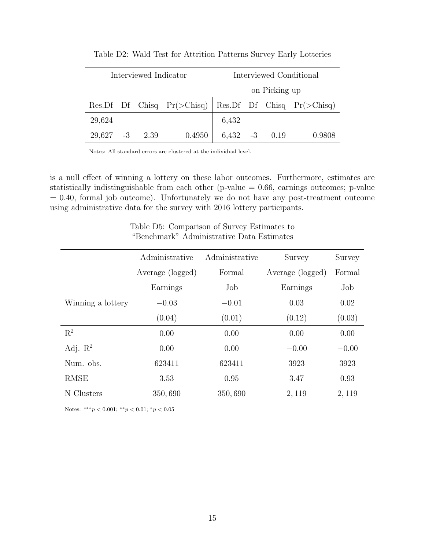| Interviewed Indicator |  |  |                                                                   |                                                   |  |  | Interviewed Conditional |
|-----------------------|--|--|-------------------------------------------------------------------|---------------------------------------------------|--|--|-------------------------|
|                       |  |  |                                                                   | on Picking up                                     |  |  |                         |
|                       |  |  | Res.Df Df Chisq $Pr(\geq Chisq)$ Res.Df Df Chisq $Pr(\geq Chisq)$ |                                                   |  |  |                         |
| 29,624                |  |  |                                                                   | 6,432                                             |  |  |                         |
| $29,627 -3 2.39$      |  |  | 0.4950                                                            | $\begin{array}{ l} 6,432 & -3 & 0.19 \end{array}$ |  |  | 0.9808                  |

Table D2: Wald Test for Attrition Patterns Survey Early Lotteries

is a null effect of winning a lottery on these labor outcomes. Furthermore, estimates are statistically indistinguishable from each other ( $p$ -value  $= 0.66$ , earnings outcomes;  $p$ -value  $= 0.40$ , formal job outcome). Unfortunately we do not have any post-treatment outcome using administrative data for the survey with 2016 lottery participants.

|  | Table D5: Comparison of Survey Estimates to |
|--|---------------------------------------------|
|  | "Benchmark" Administrative Data Estimates   |

|                     | Administrative   | Administrative | Survey           | Survey  |
|---------------------|------------------|----------------|------------------|---------|
|                     | Average (logged) | Formal         | Average (logged) | Formal  |
|                     | Earnings         | Job            | Earnings         | Job     |
| Winning a lottery   | $-0.03$          | $-0.01$        | 0.03             | 0.02    |
|                     | (0.04)           | (0.01)         | (0.12)           | (0.03)  |
| $\mathbf{R}^2$      | 0.00             | 0.00           | 0.00             | 0.00    |
| Adj. $\mathbb{R}^2$ | 0.00             | 0.00           | $-0.00$          | $-0.00$ |
| Num. obs.           | 623411           | 623411         | 3923             | 3923    |
| <b>RMSE</b>         | 3.53             | 0.95           | 3.47             | 0.93    |
| N Clusters          | 350,690          | 350,690        | 2, 119           | 2,119   |

Notes: \*\*\* $p < 0.001$ ; \*\* $p < 0.01$ ; \* $p < 0.05$ 

Ĭ.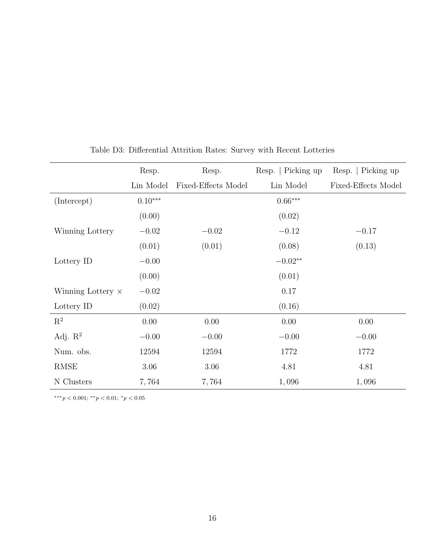|                          | Resp.     | Resp.               | Resp.   Picking up | Resp.   Picking up  |
|--------------------------|-----------|---------------------|--------------------|---------------------|
|                          | Lin Model | Fixed-Effects Model | Lin Model          | Fixed-Effects Model |
| (Intercept)              | $0.10***$ |                     | $0.66***$          |                     |
|                          | (0.00)    |                     | (0.02)             |                     |
| Winning Lottery          | $-0.02$   | $-0.02$             | $-0.12$            | $-0.17$             |
|                          | (0.01)    | (0.01)              | (0.08)             | (0.13)              |
| Lottery ID               | $-0.00$   |                     | $-0.02**$          |                     |
|                          | (0.00)    |                     | (0.01)             |                     |
| Winning Lottery $\times$ | $-0.02$   |                     | 0.17               |                     |
| Lottery ID               | (0.02)    |                     | (0.16)             |                     |
| $\mathbf{R}^2$           | 0.00      | 0.00                | 0.00               | 0.00                |
| Adj. $\mathbb{R}^2$      | $-0.00$   | $-0.00$             | $-0.00$            | $-0.00$             |
| Num. obs.                | 12594     | 12594               | 1772               | 1772                |
| <b>RMSE</b>              | 3.06      | 3.06                | 4.81               | 4.81                |
| N Clusters               | 7,764     | 7,764               | 1,096              | 1,096               |

Table D3: Differential Attrition Rates: Survey with Recent Lotteries

∗∗∗p < 0.001; ∗∗p < 0.01; <sup>∗</sup>p < 0.05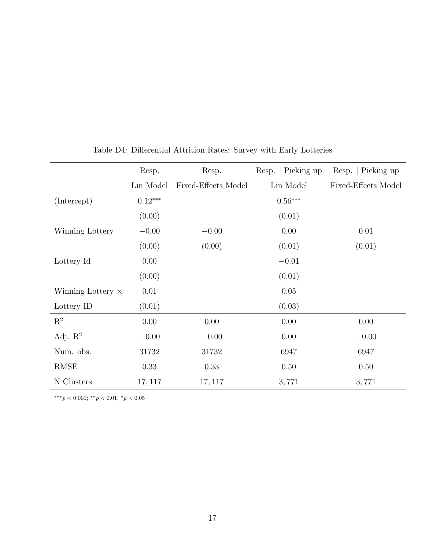|                          | Resp.     | Resp.               | Resp.   Picking up | Resp.   Picking up  |
|--------------------------|-----------|---------------------|--------------------|---------------------|
|                          | Lin Model | Fixed-Effects Model | Lin Model          | Fixed-Effects Model |
| (Intercept)              | $0.12***$ |                     | $0.56***$          |                     |
|                          | (0.00)    |                     | (0.01)             |                     |
| Winning Lottery          | $-0.00$   | $-0.00$             | 0.00               | 0.01                |
|                          | (0.00)    | (0.00)              | (0.01)             | (0.01)              |
| Lottery Id               | 0.00      |                     | $-0.01$            |                     |
|                          | (0.00)    |                     | (0.01)             |                     |
| Winning Lottery $\times$ | 0.01      |                     | 0.05               |                     |
| Lottery ID               | (0.01)    |                     | (0.03)             |                     |
| $R^2$                    | 0.00      | 0.00                | 0.00               | 0.00                |
| Adj. $R^2$               | $-0.00$   | $-0.00$             | 0.00               | $-0.00$             |
| Num. obs.                | 31732     | 31732               | 6947               | 6947                |
| <b>RMSE</b>              | 0.33      | 0.33                | 0.50               | 0.50                |
| N Clusters               | 17, 117   | 17, 117             | 3,771              | 3,771               |

Table D4: Differential Attrition Rates: Survey with Early Lotteries

∗∗∗p < 0.001; ∗∗p < 0.01; <sup>∗</sup>p < 0.05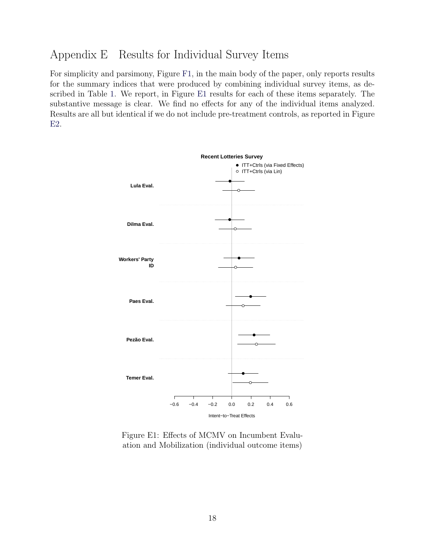### Appendix E Results for Individual Survey Items

For simplicity and parsimony, Figure [F1,](#page-55-0) in the main body of the paper, only reports results for the summary indices that were produced by combining individual survey items, as described in Table [1.](#page-14-0) We report, in Figure [E1](#page-52-0) results for each of these items separately. The substantive message is clear. We find no effects for any of the individual items analyzed. Results are all but identical if we do not include pre-treatment controls, as reported in Figure [E2.](#page-53-0)

<span id="page-52-0"></span>

Figure E1: Effects of MCMV on Incumbent Evaluation and Mobilization (individual outcome items)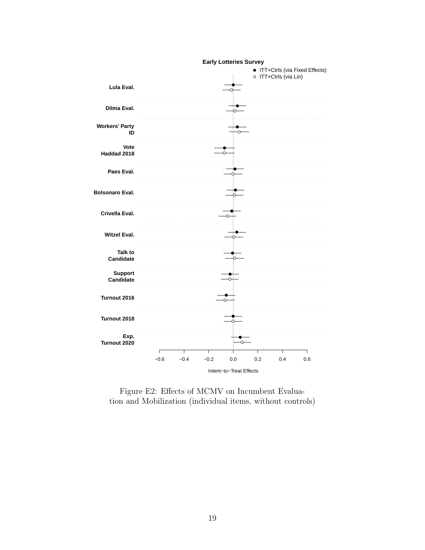<span id="page-53-0"></span>

Figure E2: Effects of MCMV on Incumbent Evaluation and Mobilization (individual items, without controls)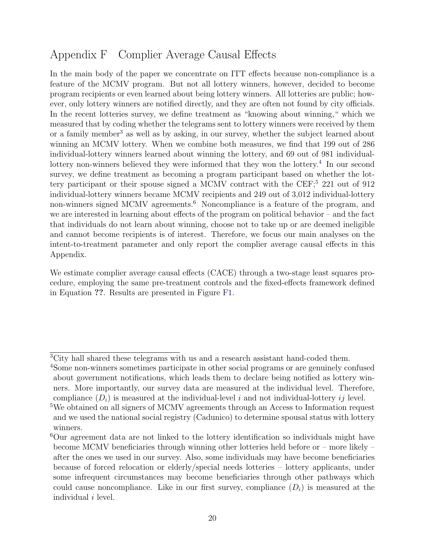# Appendix F Complier Average Causal Effects

In the main body of the paper we concentrate on ITT effects because non-compliance is a feature of the MCMV program. But not all lottery winners, however, decided to become program recipients or even learned about being lottery winners. All lotteries are public; however, only lottery winners are notified directly, and they are often not found by city officials. In the recent lotteries survey, we define treatment as "knowing about winning," which we measured that by coding whether the telegrams sent to lottery winners were received by them or a family member<sup>[3](#page-54-0)</sup> as well as by asking, in our survey, whether the subject learned about winning an MCMV lottery. When we combine both measures, we find that 199 out of 286 individual-lottery winners learned about winning the lottery, and 69 out of 981 individual-lottery non-winners believed they were informed that they won the lottery.<sup>[4](#page-54-1)</sup> In our second survey, we define treatment as becoming a program participant based on whether the lot-tery participant or their spouse signed a MCMV contract with the CEF;<sup>[5](#page-54-2)</sup> 221 out of 912 individual-lottery winners became MCMV recipients and 249 out of 3,012 individual-lottery non-winners signed MCMV agreements.<sup>[6](#page-54-3)</sup> Noncompliance is a feature of the program, and we are interested in learning about effects of the program on political behavior – and the fact that individuals do not learn about winning, choose not to take up or are deemed ineligible and cannot become recipients is of interest. Therefore, we focus our main analyses on the intent-to-treatment parameter and only report the complier average causal effects in this Appendix.

We estimate complier average causal effects (CACE) through a two-stage least squares procedure, employing the same pre-treatment controls and the fixed-effects framework defined in Equation ??. Results are presented in Figure [F1.](#page-55-0)

<span id="page-54-0"></span><sup>3</sup>City hall shared these telegrams with us and a research assistant hand-coded them.

<span id="page-54-1"></span><sup>4</sup>Some non-winners sometimes participate in other social programs or are genuinely confused about government notifications, which leads them to declare being notified as lottery winners. More importantly, our survey data are measured at the individual level. Therefore, compliance  $(D_i)$  is measured at the individual-level i and not individual-lottery ij level.

<span id="page-54-2"></span><sup>5</sup>We obtained on all signers of MCMV agreements through an Access to Information request and we used the national social registry (Cadunico) to determine spousal status with lottery winners.

<span id="page-54-3"></span><sup>6</sup>Our agreement data are not linked to the lottery identification so individuals might have become MCMV beneficiaries through winning other lotteries held before or – more likely – after the ones we used in our survey. Also, some individuals may have become beneficiaries because of forced relocation or elderly/special needs lotteries – lottery applicants, under some infrequent circumstances may become beneficiaries through other pathways which could cause noncompliance. Like in our first survey, compliance  $(D<sub>i</sub>)$  is measured at the individual i level.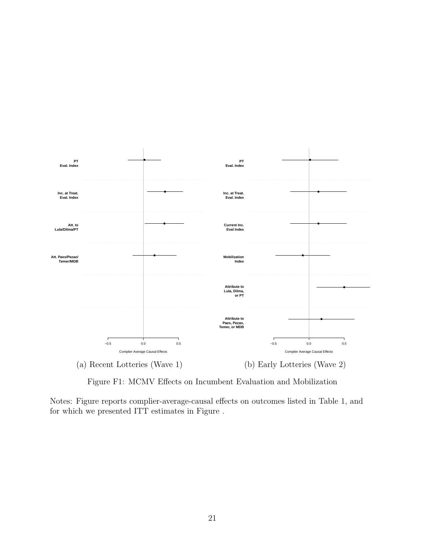<span id="page-55-0"></span>

Figure F1: MCMV Effects on Incumbent Evaluation and Mobilization

Notes: Figure reports complier-average-causal effects on outcomes listed in Table [1,](#page-14-0) and for which we presented ITT estimates in Figure .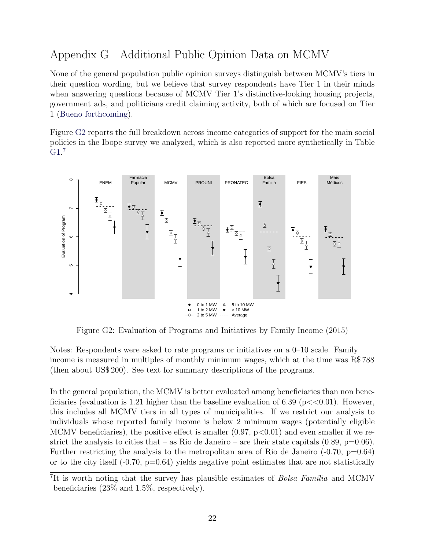### <span id="page-56-0"></span>Appendix G Additional Public Opinion Data on MCMV

None of the general population public opinion surveys distinguish between MCMV's tiers in their question wording, but we believe that survey respondents have Tier 1 in their minds when answering questions because of MCMV Tier 1's distinctive-looking housing projects, government ads, and politicians credit claiming activity, both of which are focused on Tier 1 [\(Bueno](#page-31-6) [forthcoming\)](#page-31-6).

Figure [G2](#page-56-1) reports the full breakdown across income categories of support for the main social policies in the Ibope survey we analyzed, which is also reported more synthetically in Table [G1.](#page-14-0) [7](#page-56-2)

<span id="page-56-1"></span>

Figure G2: Evaluation of Programs and Initiatives by Family Income (2015)

Notes: Respondents were asked to rate programs or initiatives on a 0–10 scale. Family income is measured in multiples of monthly minimum wages, which at the time was R\$ 788 (then about US\$ 200). See text for summary descriptions of the programs.

In the general population, the MCMV is better evaluated among beneficiaries than non beneficiaries (evaluation is 1.21 higher than the baseline evaluation of 6.39 ( $p \lt 0.01$ ). However, this includes all MCMV tiers in all types of municipalities. If we restrict our analysis to individuals whose reported family income is below 2 minimum wages (potentially eligible MCMV beneficiaries), the positive effect is smaller  $(0.97, p<0.01)$  and even smaller if we restrict the analysis to cities that – as Rio de Janeiro – are their state capitals  $(0.89, p=0.06)$ . Further restricting the analysis to the metropolitan area of Rio de Janeiro  $(-0.70, p=0.64)$ or to the city itself  $(-0.70, p=0.64)$  yields negative point estimates that are not statistically

<span id="page-56-2"></span><sup>&</sup>lt;sup>7</sup>It is worth noting that the survey has plausible estimates of *Bolsa Família* and MCMV beneficiaries (23% and 1.5%, respectively).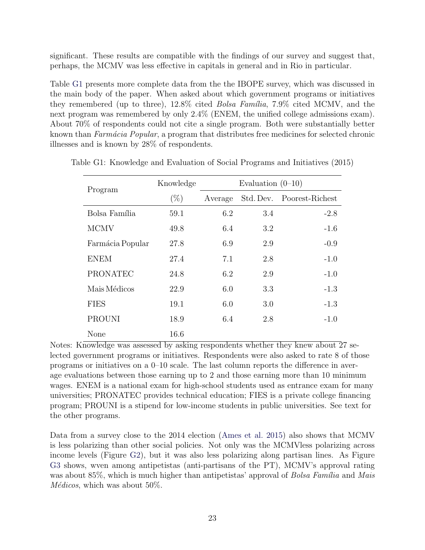significant. These results are compatible with the findings of our survey and suggest that, perhaps, the MCMV was less effective in capitals in general and in Rio in particular.

Table [G1](#page-14-0) presents more complete data from the the IBOPE survey, which was discussed in the main body of the paper. When asked about which government programs or initiatives they remembered (up to three),  $12.8\%$  cited *Bolsa Família*,  $7.9\%$  cited MCMV, and the next program was remembered by only 2.4% (ENEM, the unified college admissions exam). About 70% of respondents could not cite a single program. Both were substantially better known than *Farmácia Popular*, a program that distributes free medicines for selected chronic illnesses and is known by 28% of respondents.

| Program          | Knowledge |         | Evaluation $(0-10)$ |                 |
|------------------|-----------|---------|---------------------|-----------------|
|                  | $(\%)$    | Average | Std. Dev.           | Poorest-Richest |
| Bolsa Família    | 59.1      | 6.2     | 3.4                 | $-2.8$          |
| <b>MCMV</b>      | 49.8      | 6.4     | 3.2                 | $-1.6$          |
| Farmácia Popular | 27.8      | 6.9     | 2.9                 | $-0.9$          |
| <b>ENEM</b>      | 27.4      | 7.1     | 2.8                 | $-1.0$          |
| <b>PRONATEC</b>  | 24.8      | 6.2     | 2.9                 | $-1.0$          |
| Mais Médicos     | 22.9      | 6.0     | 3.3                 | $-1.3$          |
| <b>FIES</b>      | 19.1      | 6.0     | 3.0                 | $-1.3$          |
| <b>PROUNI</b>    | 18.9      | 6.4     | 2.8                 | $-1.0$          |
| None             | 16.6      |         |                     |                 |

Table G1: Knowledge and Evaluation of Social Programs and Initiatives (2015)

Notes: Knowledge was assessed by asking respondents whether they knew about 27 selected government programs or initiatives. Respondents were also asked to rate 8 of those programs or initiatives on a 0–10 scale. The last column reports the difference in average evaluations between those earning up to 2 and those earning more than 10 minimum wages. ENEM is a national exam for high-school students used as entrance exam for many universities; PRONATEC provides technical education; FIES is a private college financing program; PROUNI is a stipend for low-income students in public universities. See text for the other programs.

Data from a survey close to the 2014 election [\(Ames et al.](#page-30-2) [2015\)](#page-30-2) also shows that MCMV is less polarizing than other social policies. Not only was the MCMVless polarizing across income levels (Figure [G2\)](#page-56-1), but it was also less polarizing along partisan lines. As Figure [G3](#page-58-0) shows, wven among antipetistas (anti-partisans of the PT), MCMV's approval rating was about 85%, which is much higher than antipetistas' approval of *Bolsa Família* and *Mais*  $M\'{e}dicos$ , which was about 50%.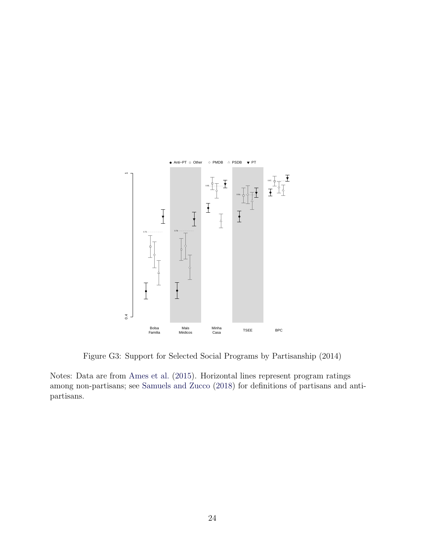<span id="page-58-0"></span>

Figure G3: Support for Selected Social Programs by Partisanship (2014)

Notes: Data are from [Ames et al.](#page-30-2) [\(2015\)](#page-30-2). Horizontal lines represent program ratings among non-partisans; see [Samuels and Zucco](#page-34-5) [\(2018\)](#page-34-5) for definitions of partisans and antipartisans.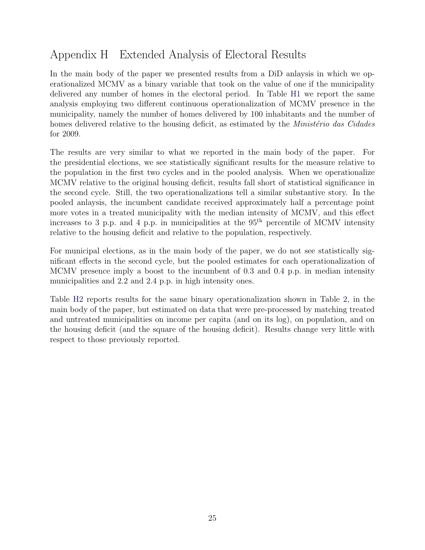# <span id="page-59-0"></span>Appendix H Extended Analysis of Electoral Results

In the main body of the paper we presented results from a DiD anlaysis in which we operationalized MCMV as a binary variable that took on the value of one if the municipality delivered any number of homes in the electoral period. In Table [H1](#page-60-0) we report the same analysis employing two different continuous operationalization of MCMV presence in the municipality, namely the number of homes delivered by 100 inhabitants and the number of homes delivered relative to the housing deficit, as estimated by the *Ministério das Cidades* for 2009.

The results are very similar to what we reported in the main body of the paper. For the presidential elections, we see statistically significant results for the measure relative to the population in the first two cycles and in the pooled analysis. When we operationalize MCMV relative to the original housing deficit, results fall short of statistical significance in the second cycle. Still, the two operationalizations tell a similar substantive story. In the pooled anlaysis, the incumbent candidate received approximately half a percentage point more votes in a treated municipality with the median intensity of MCMV, and this effect increases to 3 p.p. and 4 p.p. in municipalities at the  $95<sup>th</sup>$  percentile of MCMV intensity relative to the housing deficit and relative to the population, respectively.

For municipal elections, as in the main body of the paper, we do not see statistically significant effects in the second cycle, but the pooled estimates for each operationalization of MCMV presence imply a boost to the incumbent of 0.3 and 0.4 p.p. in median intensity municipalities and 2.2 and 2.4 p.p. in high intensity ones.

Table [H2](#page-23-2) reports results for the same binary operationalization shown in Table [2,](#page-23-2) in the main body of the paper, but estimated on data that were pre-processed by matching treated and untreated municipalities on income per capita (and on its log), on population, and on the housing deficit (and the square of the housing deficit). Results change very little with respect to those previously reported.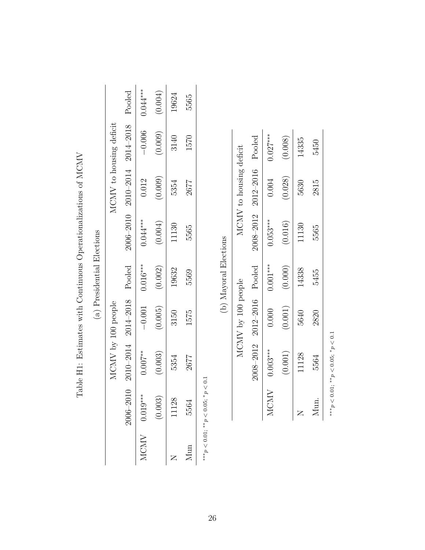<span id="page-60-0"></span>

|     |                                        |             |                            | (a) Presidential Elections |            |                         |                                      |            |
|-----|----------------------------------------|-------------|----------------------------|----------------------------|------------|-------------------------|--------------------------------------|------------|
|     |                                        |             | MCMV by 100 people         |                            |            | MCMV to housing deficit |                                      |            |
|     | 2006-2010                              |             | 2010-2014 2014-2018 Pooled |                            |            |                         | 2006-2010 2010-2014 2014-2018 Pooled |            |
|     | $MCMV$ 0.019***                        | $0.007***$  | $-0.001$                   | $0.016***$                 | $0.044***$ | 0.012                   | $-0.006$                             | $0.044***$ |
|     | (0.003)                                | (0.003)     | (0.005)                    | (0.002)                    | (0.004)    | (0.009)                 | (0.009)                              | (0.004)    |
|     | 11128                                  | 5354        | 3150                       | 19632                      | 11130      | 5354                    | 3140                                 | 19624      |
| Mun | 5564                                   | 2677        | 1575                       | 5569                       | 5565       | 2677                    | 1570                                 | 5565       |
|     | *** $p < 0.01$ ; ** $p < 0.05$ ; * $p$ | $\leqslant$ |                            |                            |            |                         |                                      |            |

Table H1: Estimates with Continuous Operationalizations of MCMV Table H1: Estimates with Continuous Operationalizations of MCMV

(b) Mayoral Elections  $\ddot{t}$  $\overline{H}$  $(h)$  M<sub>2</sub>

|      |            |                                    | D) Mayoral Elections |            |                            |            |
|------|------------|------------------------------------|----------------------|------------|----------------------------|------------|
|      |            | MCMV by 100 people                 |                      |            | MCMV to housing deficit    |            |
|      |            | $2008 - 2012$ $2012 - 2016$ Pooled |                      |            | 2008-2012 2012-2016 Pooled |            |
| MCMV | $0.003***$ | 0.000                              | $0.001***$           | $0.053***$ | 0.004                      | $0.027***$ |
|      | (0.001)    | (0.001)                            | (0.000)              | (0.016)    | (0.028)                    | (0.008)    |
|      | 11128      | 5640                               | 14338                | 11130      | 5630                       | 14335      |
| Mun. | 5564       | 2820                               | 5455                 | 5565       | 2815                       | 5450       |
|      |            |                                    |                      |            |                            |            |

∗\*\* $p < 0.01$ ; \*\* $p < 0.05$ ; \*\*\*p < 0.01; \*\*p < 0.05; \*p < 0.1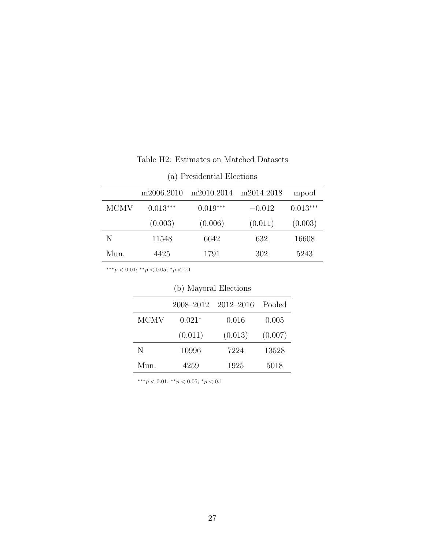|      | m2006.2010 | m2010.2014 | m2014.2018 | mpool      |
|------|------------|------------|------------|------------|
| MCMV | $0.013***$ | $0.019***$ | $-0.012$   | $0.013***$ |
|      | (0.003)    | (0.006)    | (0.011)    | (0.003)    |
| N    | 11548      | 6642       | 632        | 16608      |
| Mun. | 4425       | 1791       | 302        | 5243       |

Table H2: Estimates on Matched Datasets

(a) Presidential Elections

∗∗∗p < 0.01; ∗∗p < 0.05; <sup>∗</sup>p < 0.1

|             | (v) mayorar Elections |           |         |  |  |  |
|-------------|-----------------------|-----------|---------|--|--|--|
|             | 2008–2012             | 2012–2016 | Pooled  |  |  |  |
| <b>MCMV</b> | $0.021*$              | 0.016     | 0.005   |  |  |  |
|             | (0.011)               | (0.013)   | (0.007) |  |  |  |
| N           | 10996                 | 7224      | 13528   |  |  |  |
| Mun.        | 4259                  | 1925      | 5018    |  |  |  |

| (b) Mayoral Elections |  |
|-----------------------|--|
|-----------------------|--|

∗∗∗p < 0.01; ∗∗p < 0.05; <sup>∗</sup>p < 0.1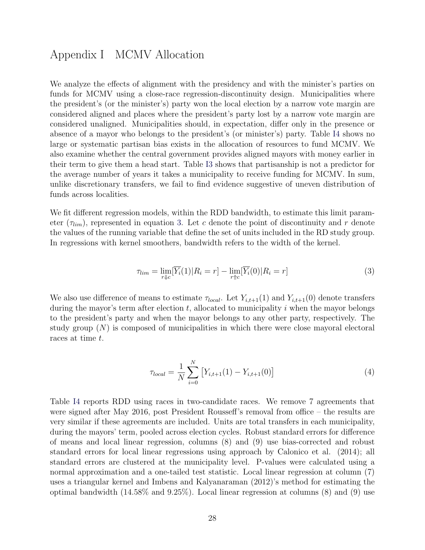### <span id="page-62-0"></span>Appendix I MCMV Allocation

We analyze the effects of alignment with the presidency and with the minister's parties on funds for MCMV using a close-race regression-discontinuity design. Municipalities where the president's (or the minister's) party won the local election by a narrow vote margin are considered aligned and places where the president's party lost by a narrow vote margin are considered unaligned. Municipalities should, in expectation, differ only in the presence or absence of a mayor who belongs to the president's (or minister's) party. Table [I4](#page-43-0) shows no large or systematic partisan bias exists in the allocation of resources to fund MCMV. We also examine whether the central government provides aligned mayors with money earlier in their term to give them a head start. Table [I3](#page-38-0) shows that partisanship is not a predictor for the average number of years it takes a municipality to receive funding for MCMV. In sum, unlike discretionary transfers, we fail to find evidence suggestive of uneven distribution of funds across localities.

We fit different regression models, within the RDD bandwidth, to estimate this limit parameter  $(\tau_{lim})$ , represented in equation [3.](#page-62-1) Let c denote the point of discontinuity and r denote the values of the running variable that define the set of units included in the RD study group. In regressions with kernel smoothers, bandwidth refers to the width of the kernel.

<span id="page-62-1"></span>
$$
\tau_{lim} = \lim_{r \downarrow c} [\overline{Y_i}(1) | R_i = r] - \lim_{r \uparrow c} [\overline{Y_i}(0) | R_i = r]
$$
\n(3)

We also use difference of means to estimate  $\tau_{local}$ . Let  $Y_{i,t+1}(1)$  and  $Y_{i,t+1}(0)$  denote transfers during the mayor's term after election  $t$ , allocated to municipality  $i$  when the mayor belongs to the president's party and when the mayor belongs to any other party, respectively. The study group  $(N)$  is composed of municipalities in which there were close mayoral electoral races at time t.

$$
\tau_{local} = \frac{1}{N} \sum_{i=0}^{N} \left[ Y_{i,t+1}(1) - Y_{i,t+1}(0) \right]
$$
\n(4)

Table [I4](#page-43-0) reports RDD using races in two-candidate races. We remove 7 agreements that were signed after May 2016, post President Rousseff's removal from office – the results are very similar if these agreements are included. Units are total transfers in each municipality, during the mayors' term, pooled across election cycles. Robust standard errors for difference of means and local linear regression, columns (8) and (9) use bias-corrected and robust standard errors for local linear regressions using approach by Calonico et al. (2014); all standard errors are clustered at the municipality level. P-values were calculated using a normal approximation and a one-tailed test statistic. Local linear regression at column (7) uses a triangular kernel and Imbens and Kalyanaraman (2012)'s method for estimating the optimal bandwidth  $(14.58\% \text{ and } 9.25\%)$ . Local linear regression at columns  $(8)$  and  $(9)$  use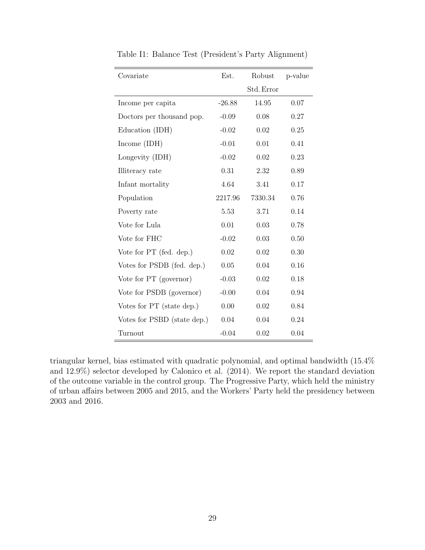| Covariate                   | Est.     | Robust     | p-value |
|-----------------------------|----------|------------|---------|
|                             |          | Std. Error |         |
| Income per capita           | $-26.88$ | 14.95      | 0.07    |
| Doctors per thousand pop.   | $-0.09$  | 0.08       | 0.27    |
| Education (IDH)             | $-0.02$  | 0.02       | 0.25    |
| Income $(IDH)$              | $-0.01$  | 0.01       | 0.41    |
| Longevity (IDH)             | $-0.02$  | 0.02       | 0.23    |
| Illiteracy rate             | 0.31     | 2.32       | 0.89    |
| Infant mortality            | 4.64     | 3.41       | 0.17    |
| Population                  | 2217.96  | 7330.34    | 0.76    |
| Poverty rate                | 5.53     | 3.71       | 0.14    |
| Vote for Lula               | 0.01     | 0.03       | 0.78    |
| Vote for FHC                | $-0.02$  | 0.03       | 0.50    |
| Vote for PT (fed. dep.)     | 0.02     | 0.02       | 0.30    |
| Votes for PSDB (fed. dep.)  | 0.05     | 0.04       | 0.16    |
| Vote for PT (governor)      | $-0.03$  | 0.02       | 0.18    |
| Vote for PSDB (governor)    | $-0.00$  | 0.04       | 0.94    |
| Votes for PT (state dep.)   | 0.00     | 0.02       | 0.84    |
| Votes for PSBD (state dep.) | 0.04     | 0.04       | 0.24    |
| Turnout                     | $-0.04$  | 0.02       | 0.04    |

Table I1: Balance Test (President's Party Alignment)

triangular kernel, bias estimated with quadratic polynomial, and optimal bandwidth (15.4% and 12.9%) selector developed by Calonico et al. (2014). We report the standard deviation of the outcome variable in the control group. The Progressive Party, which held the ministry of urban affairs between 2005 and 2015, and the Workers' Party held the presidency between 2003 and 2016.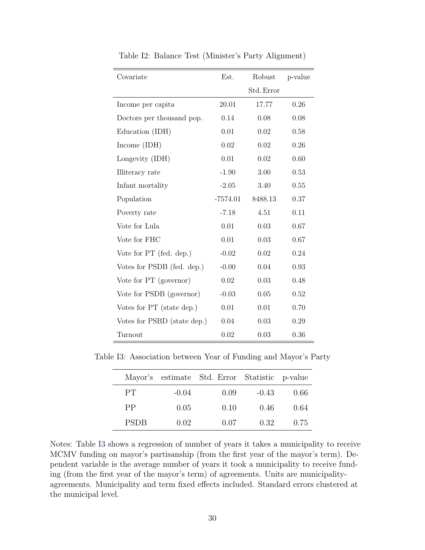| Covariate                   | Est.       | Robust     | p-value |
|-----------------------------|------------|------------|---------|
|                             |            | Std. Error |         |
| Income per capita           | 20.01      | 17.77      | 0.26    |
| Doctors per thousand pop.   | 0.14       | 0.08       | 0.08    |
| Education (IDH)             | 0.01       | 0.02       | 0.58    |
| Income $(IDH)$              | 0.02       | 0.02       | 0.26    |
| Longevity (IDH)             | 0.01       | 0.02       | 0.60    |
| Illiteracy rate             | $-1.90$    | 3.00       | 0.53    |
| Infant mortality            | $-2.05$    | 3.40       | 0.55    |
| Population                  | $-7574.01$ | 8488.13    | 0.37    |
| Poverty rate                | $-7.18$    | 4.51       | 0.11    |
| Vote for Lula               | 0.01       | 0.03       | 0.67    |
| Vote for FHC                | 0.01       | 0.03       | 0.67    |
| Vote for PT (fed. dep.)     | $-0.02$    | 0.02       | 0.24    |
| Votes for PSDB (fed. dep.)  | $-0.00$    | 0.04       | 0.93    |
| Vote for PT (governor)      | 0.02       | 0.03       | 0.48    |
| Vote for PSDB (governor)    | $-0.03$    | 0.05       | 0.52    |
| Votes for PT (state dep.)   | 0.01       | 0.01       | 0.70    |
| Votes for PSBD (state dep.) | 0.04       | 0.03       | 0.29    |
| Turnout                     | 0.02       | 0.03       | 0.36    |

Table I2: Balance Test (Minister's Party Alignment)

Table I3: Association between Year of Funding and Mayor's Party

|             |         | Mayor's estimate Std. Error Statistic p-value |         |      |
|-------------|---------|-----------------------------------------------|---------|------|
| PT          | $-0.04$ | 0.09                                          | $-0.43$ | 0.66 |
| <b>PP</b>   | 0.05    | 0.10                                          | 0.46    | 0.64 |
| <b>PSDB</b> | 0.02    | 0.07                                          | 0.32    | 0.75 |

Notes: Table [I3](#page-38-0) shows a regression of number of years it takes a municipality to receive MCMV funding on mayor's partisanship (from the first year of the mayor's term). Dependent variable is the average number of years it took a municipality to receive funding (from the first year of the mayor's term) of agreements. Units are municipalityagreements. Municipality and term fixed effects included. Standard errors clustered at the municipal level.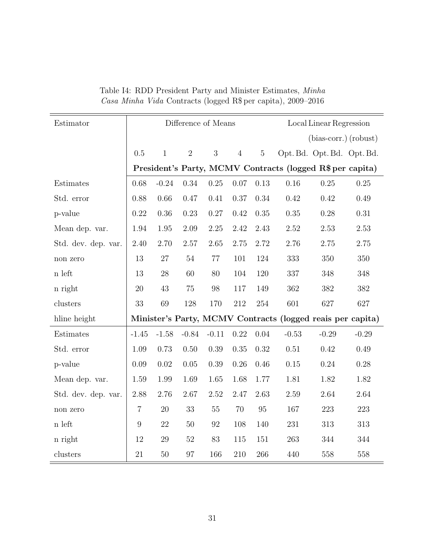| Estimator           |                | Difference of Means<br>Local Linear Regression |                |          |                |                |         |                                                            |          |
|---------------------|----------------|------------------------------------------------|----------------|----------|----------------|----------------|---------|------------------------------------------------------------|----------|
|                     |                |                                                |                |          |                |                |         | $(bias-corr.)$ (robust)                                    |          |
|                     | 0.5            | $\mathbf{1}$                                   | $\overline{2}$ | 3        | $\overline{4}$ | $\overline{5}$ |         | Opt. Bd. Opt. Bd. Opt. Bd.                                 |          |
|                     |                |                                                |                |          |                |                |         | President's Party, MCMV Contracts (logged R\$ per capita)  |          |
| Estimates           | 0.68           | $-0.24$                                        | 0.34           | $0.25\,$ | 0.07           | 0.13           | 0.16    | 0.25                                                       | $0.25\,$ |
| Std. error          | 0.88           | 0.66                                           | 0.47           | 0.41     | 0.37           | 0.34           | 0.42    | 0.42                                                       | 0.49     |
| p-value             | 0.22           | 0.36                                           | 0.23           | 0.27     | 0.42           | 0.35           | 0.35    | 0.28                                                       | 0.31     |
| Mean dep. var.      | 1.94           | 1.95                                           | 2.09           | 2.25     | 2.42           | 2.43           | 2.52    | 2.53                                                       | 2.53     |
| Std. dev. dep. var. | 2.40           | 2.70                                           | 2.57           | 2.65     | 2.75           | 2.72           | 2.76    | 2.75                                                       | 2.75     |
| non zero            | 13             | 27                                             | $54\,$         | 77       | 101            | 124            | 333     | 350                                                        | 350      |
| n left              | 13             | 28                                             | 60             | 80       | 104            | 120            | 337     | 348                                                        | 348      |
| n right             | 20             | 43                                             | 75             | 98       | 117            | 149            | 362     | 382                                                        | 382      |
| clusters            | 33             | 69                                             | 128            | 170      | $212\,$        | $254\,$        | 601     | 627                                                        | 627      |
| hline height        |                |                                                |                |          |                |                |         | Minister's Party, MCMV Contracts (logged reais per capita) |          |
| Estimates           | $-1.45$        | $-1.58$                                        | $-0.84$        | $-0.11$  | 0.22           | 0.04           | $-0.53$ | $-0.29$                                                    | $-0.29$  |
| Std. error          | 1.09           | 0.73                                           | 0.50           | 0.39     | 0.35           | 0.32           | 0.51    | 0.42                                                       | 0.49     |
| p-value             | 0.09           | 0.02                                           | 0.05           | 0.39     | 0.26           | 0.46           | 0.15    | $0.24\,$                                                   | 0.28     |
| Mean dep. var.      | 1.59           | 1.99                                           | 1.69           | 1.65     | 1.68           | 1.77           | 1.81    | 1.82                                                       | 1.82     |
| Std. dev. dep. var. | 2.88           | 2.76                                           | 2.67           | 2.52     | 2.47           | 2.63           | 2.59    | 2.64                                                       | 2.64     |
| non zero            | $\overline{7}$ | $20\,$                                         | 33             | $55\,$   | 70             | $\rm 95$       | 167     | 223                                                        | 223      |
| n left              | 9              | 22                                             | 50             | 92       | 108            | 140            | 231     | 313                                                        | 313      |
| n right             | 12             | 29                                             | $52\,$         | 83       | 115            | 151            | 263     | 344                                                        | 344      |
| clusters            | 21             | 50                                             | 97             | 166      | 210            | 266            | 440     | 558                                                        | 558      |

Table I4: RDD President Party and Minister Estimates, Minha Casa Minha Vida Contracts (logged R\$ per capita), 2009–2016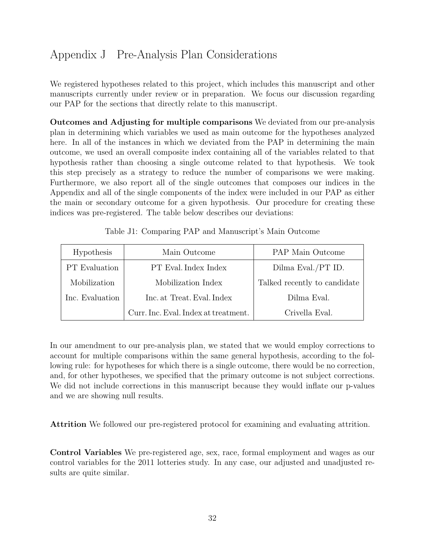# <span id="page-66-0"></span>Appendix J Pre-Analysis Plan Considerations

We registered hypotheses related to this project, which includes this manuscript and other manuscripts currently under review or in preparation. We focus our discussion regarding our PAP for the sections that directly relate to this manuscript.

Outcomes and Adjusting for multiple comparisons We deviated from our pre-analysis plan in determining which variables we used as main outcome for the hypotheses analyzed here. In all of the instances in which we deviated from the PAP in determining the main outcome, we used an overall composite index containing all of the variables related to that hypothesis rather than choosing a single outcome related to that hypothesis. We took this step precisely as a strategy to reduce the number of comparisons we were making. Furthermore, we also report all of the single outcomes that composes our indices in the Appendix and all of the single components of the index were included in our PAP as either the main or secondary outcome for a given hypothesis. Our procedure for creating these indices was pre-registered. The table below describes our deviations:

| <b>Hypothesis</b>    | Main Outcome                         | <b>PAP</b> Main Outcome      |
|----------------------|--------------------------------------|------------------------------|
| <b>PT</b> Evaluation | PT Eval. Index Index                 | Dilma Eval./PT ID.           |
| Mobilization         | Mobilization Index                   | Talked recently to candidate |
| Inc. Evaluation      | Inc. at Treat. Eval. Index           | Dilma Eval.                  |
|                      | Curr. Inc. Eval. Index at treatment. | Crivella Eval.               |

Table J1: Comparing PAP and Manuscript's Main Outcome

In our amendment to our pre-analysis plan, we stated that we would employ corrections to account for multiple comparisons within the same general hypothesis, according to the following rule: for hypotheses for which there is a single outcome, there would be no correction, and, for other hypotheses, we specified that the primary outcome is not subject corrections. We did not include corrections in this manuscript because they would inflate our p-values and we are showing null results.

Attrition We followed our pre-registered protocol for examining and evaluating attrition.

Control Variables We pre-registered age, sex, race, formal employment and wages as our control variables for the 2011 lotteries study. In any case, our adjusted and unadjusted results are quite similar.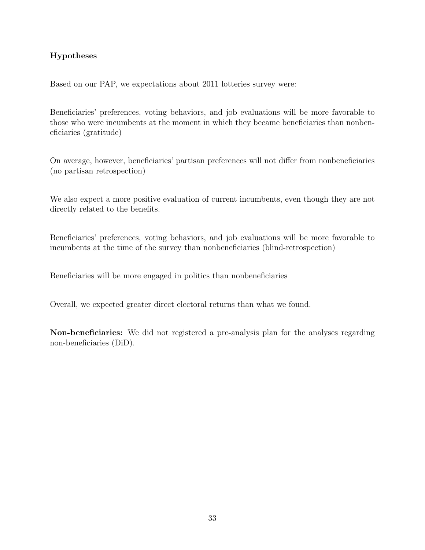#### Hypotheses

Based on our PAP, we expectations about 2011 lotteries survey were:

Beneficiaries' preferences, voting behaviors, and job evaluations will be more favorable to those who were incumbents at the moment in which they became beneficiaries than nonbeneficiaries (gratitude)

On average, however, beneficiaries' partisan preferences will not differ from nonbeneficiaries (no partisan retrospection)

We also expect a more positive evaluation of current incumbents, even though they are not directly related to the benefits.

Beneficiaries' preferences, voting behaviors, and job evaluations will be more favorable to incumbents at the time of the survey than nonbeneficiaries (blind-retrospection)

Beneficiaries will be more engaged in politics than nonbeneficiaries

Overall, we expected greater direct electoral returns than what we found.

Non-beneficiaries: We did not registered a pre-analysis plan for the analyses regarding non-beneficiaries (DiD).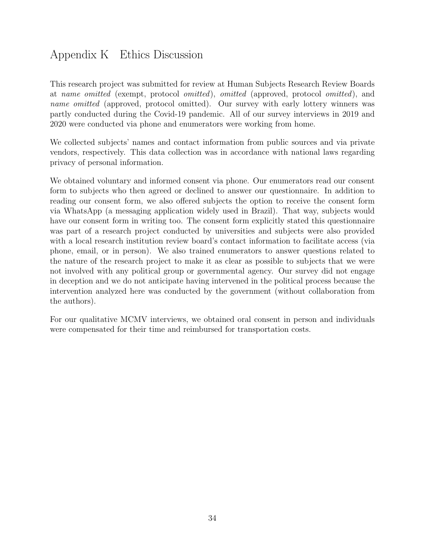# Appendix K Ethics Discussion

This research project was submitted for review at Human Subjects Research Review Boards at name omitted (exempt, protocol omitted), omitted (approved, protocol omitted), and name omitted (approved, protocol omitted). Our survey with early lottery winners was partly conducted during the Covid-19 pandemic. All of our survey interviews in 2019 and 2020 were conducted via phone and enumerators were working from home.

We collected subjects' names and contact information from public sources and via private vendors, respectively. This data collection was in accordance with national laws regarding privacy of personal information.

We obtained voluntary and informed consent via phone. Our enumerators read our consent form to subjects who then agreed or declined to answer our questionnaire. In addition to reading our consent form, we also offered subjects the option to receive the consent form via WhatsApp (a messaging application widely used in Brazil). That way, subjects would have our consent form in writing too. The consent form explicitly stated this questionnaire was part of a research project conducted by universities and subjects were also provided with a local research institution review board's contact information to facilitate access (via phone, email, or in person). We also trained enumerators to answer questions related to the nature of the research project to make it as clear as possible to subjects that we were not involved with any political group or governmental agency. Our survey did not engage in deception and we do not anticipate having intervened in the political process because the intervention analyzed here was conducted by the government (without collaboration from the authors).

For our qualitative MCMV interviews, we obtained oral consent in person and individuals were compensated for their time and reimbursed for transportation costs.